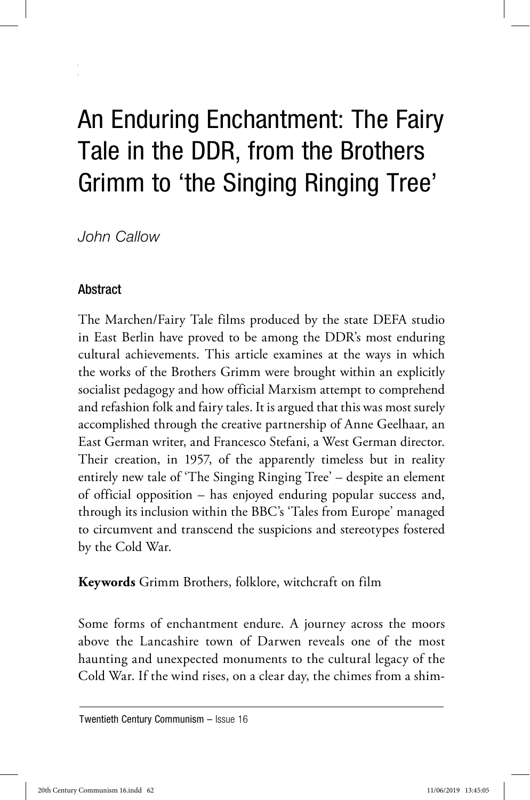## An Enduring Enchantment: The Fairy Tale in the DDR, from the Brothers Grimm to 'the Singing Ringing Tree'

*John Callow*

62 *John Callow*

## **Abstract**

The Marchen/Fairy Tale films produced by the state DEFA studio in East Berlin have proved to be among the DDR's most enduring cultural achievements. This article examines at the ways in which the works of the Brothers Grimm were brought within an explicitly socialist pedagogy and how official Marxism attempt to comprehend and refashion folk and fairy tales. It is argued that this was most surely accomplished through the creative partnership of Anne Geelhaar, an East German writer, and Francesco Stefani, a West German director. Their creation, in 1957, of the apparently timeless but in reality entirely new tale of 'The Singing Ringing Tree' – despite an element of official opposition – has enjoyed enduring popular success and, through its inclusion within the BBC's 'Tales from Europe' managed to circumvent and transcend the suspicions and stereotypes fostered by the Cold War.

**Keywords** Grimm Brothers, folklore, witchcraft on film

Some forms of enchantment endure. A journey across the moors above the Lancashire town of Darwen reveals one of the most haunting and unexpected monuments to the cultural legacy of the Cold War. If the wind rises, on a clear day, the chimes from a shim-

Twentieth Century Communism – Issue 16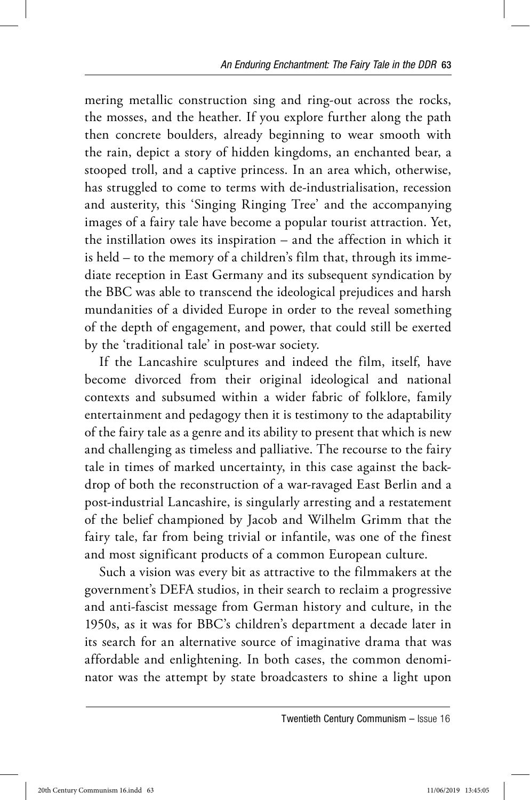mering metallic construction sing and ring-out across the rocks, the mosses, and the heather. If you explore further along the path then concrete boulders, already beginning to wear smooth with the rain, depict a story of hidden kingdoms, an enchanted bear, a stooped troll, and a captive princess. In an area which, otherwise, has struggled to come to terms with de-industrialisation, recession and austerity, this 'Singing Ringing Tree' and the accompanying images of a fairy tale have become a popular tourist attraction. Yet, the instillation owes its inspiration  $-$  and the affection in which it is held – to the memory of a children's film that, through its immediate reception in East Germany and its subsequent syndication by the BBC was able to transcend the ideological prejudices and harsh mundanities of a divided Europe in order to the reveal something of the depth of engagement, and power, that could still be exerted by the 'traditional tale' in post-war society.

If the Lancashire sculptures and indeed the film, itself, have become divorced from their original ideological and national contexts and subsumed within a wider fabric of folklore, family entertainment and pedagogy then it is testimony to the adaptability of the fairy tale as a genre and its ability to present that which is new and challenging as timeless and palliative. The recourse to the fairy tale in times of marked uncertainty, in this case against the backdrop of both the reconstruction of a war-ravaged East Berlin and a post-industrial Lancashire, is singularly arresting and a restatement of the belief championed by Jacob and Wilhelm Grimm that the fairy tale, far from being trivial or infantile, was one of the finest and most significant products of a common European culture.

Such a vision was every bit as attractive to the filmmakers at the government's DEFA studios, in their search to reclaim a progressive and anti-fascist message from German history and culture, in the 1950s, as it was for BBC's children's department a decade later in its search for an alternative source of imaginative drama that was affordable and enlightening. In both cases, the common denominator was the attempt by state broadcasters to shine a light upon

Twentieth Century Communism – Issue 16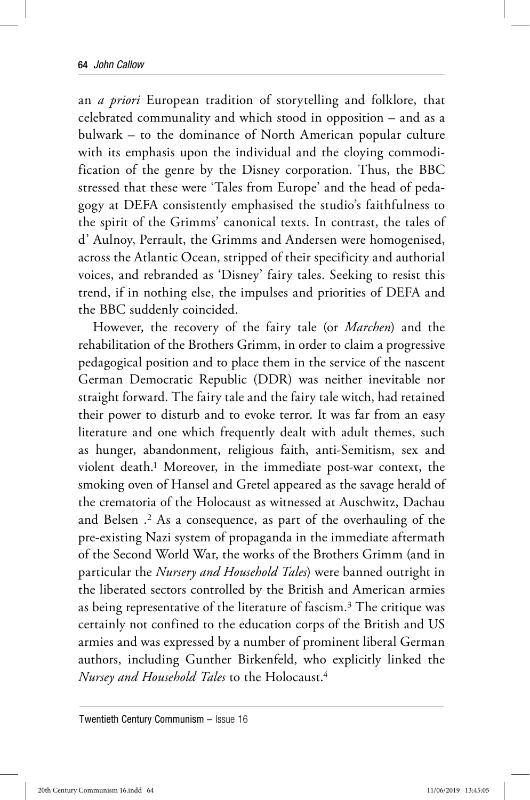an *a priori* European tradition of storytelling and folklore, that celebrated communality and which stood in opposition – and as a bulwark – to the dominance of North American popular culture with its emphasis upon the individual and the cloying commodification of the genre by the Disney corporation. Thus, the BBC stressed that these were 'Tales from Europe' and the head of pedagogy at DEFA consistently emphasised the studio's faithfulness to the spirit of the Grimms' canonical texts. In contrast, the tales of d' Aulnoy, Perrault, the Grimms and Andersen were homogenised, across the Atlantic Ocean, stripped of their specificity and authorial voices, and rebranded as 'Disney' fairy tales. Seeking to resist this trend, if in nothing else, the impulses and priorities of DEFA and the BBC suddenly coincided.

However, the recovery of the fairy tale (or *Marchen*) and the rehabilitation of the Brothers Grimm, in order to claim a progressive pedagogical position and to place them in the service of the nascent German Democratic Republic (DDR) was neither inevitable nor straight forward. The fairy tale and the fairy tale witch, had retained their power to disturb and to evoke terror. It was far from an easy literature and one which frequently dealt with adult themes, such as hunger, abandonment, religious faith, anti-Semitism, sex and violent death.1 Moreover, in the immediate post-war context, the smoking oven of Hansel and Gretel appeared as the savage herald of the crematoria of the Holocaust as witnessed at Auschwitz, Dachau and Belsen .2 As a consequence, as part of the overhauling of the pre-existing Nazi system of propaganda in the immediate aftermath of the Second World War, the works of the Brothers Grimm (and in particular the *Nursery and Household Tales*) were banned outright in the liberated sectors controlled by the British and American armies as being representative of the literature of fascism.3 The critique was certainly not confined to the education corps of the British and US armies and was expressed by a number of prominent liberal German authors, including Gunther Birkenfeld, who explicitly linked the *Nursey and Household Tales* to the Holocaust.4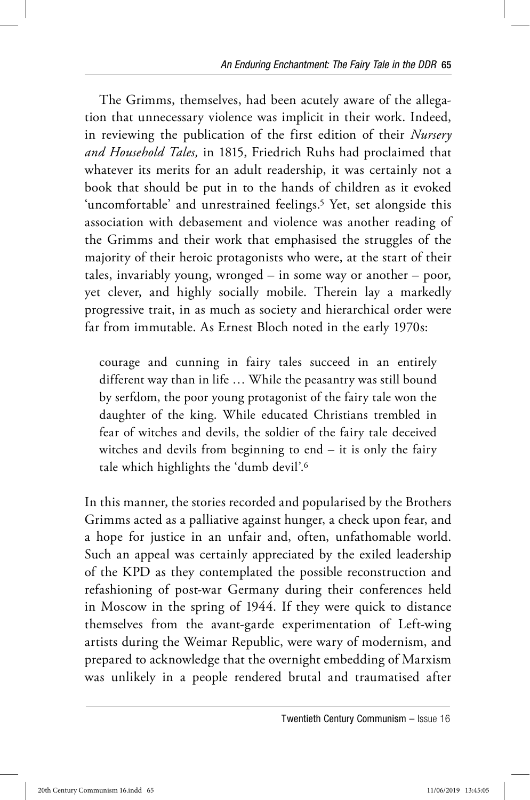The Grimms, themselves, had been acutely aware of the allegation that unnecessary violence was implicit in their work. Indeed, in reviewing the publication of the first edition of their *Nursery and Household Tales,* in 1815, Friedrich Ruhs had proclaimed that whatever its merits for an adult readership, it was certainly not a book that should be put in to the hands of children as it evoked 'uncomfortable' and unrestrained feelings.<sup>5</sup> Yet, set alongside this association with debasement and violence was another reading of the Grimms and their work that emphasised the struggles of the majority of their heroic protagonists who were, at the start of their tales, invariably young, wronged – in some way or another – poor, yet clever, and highly socially mobile. Therein lay a markedly progressive trait, in as much as society and hierarchical order were far from immutable. As Ernest Bloch noted in the early 1970s:

courage and cunning in fairy tales succeed in an entirely different way than in life … While the peasantry was still bound by serfdom, the poor young protagonist of the fairy tale won the daughter of the king. While educated Christians trembled in fear of witches and devils, the soldier of the fairy tale deceived witches and devils from beginning to end – it is only the fairy tale which highlights the 'dumb devil'.6

In this manner, the stories recorded and popularised by the Brothers Grimms acted as a palliative against hunger, a check upon fear, and a hope for justice in an unfair and, often, unfathomable world. Such an appeal was certainly appreciated by the exiled leadership of the KPD as they contemplated the possible reconstruction and refashioning of post-war Germany during their conferences held in Moscow in the spring of 1944. If they were quick to distance themselves from the avant-garde experimentation of Left-wing artists during the Weimar Republic, were wary of modernism, and prepared to acknowledge that the overnight embedding of Marxism was unlikely in a people rendered brutal and traumatised after

Twentieth Century Communism – Issue 16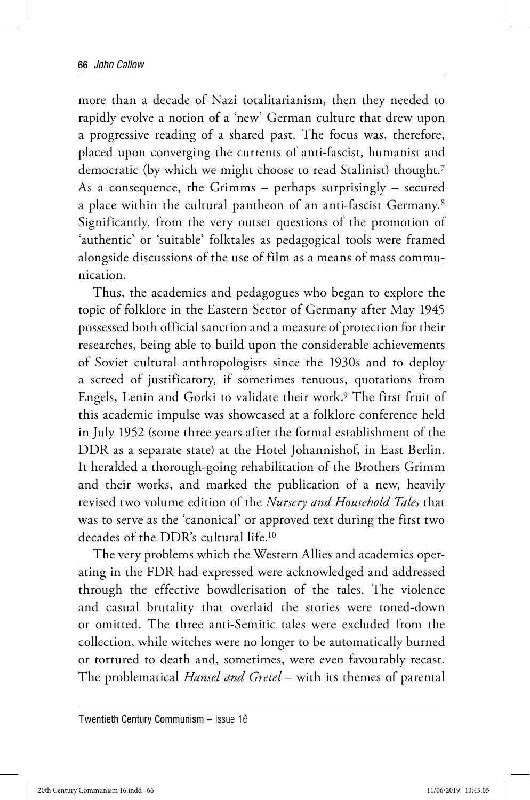more than a decade of Nazi totalitarianism, then they needed to rapidly evolve a notion of a 'new' German culture that drew upon a progressive reading of a shared past. The focus was, therefore, placed upon converging the currents of anti-fascist, humanist and democratic (by which we might choose to read Stalinist) thought.7 As a consequence, the Grimms – perhaps surprisingly – secured a place within the cultural pantheon of an anti-fascist Germany.8 Significantly, from the very outset questions of the promotion of 'authentic' or 'suitable' folktales as pedagogical tools were framed alongside discussions of the use of film as a means of mass communication.

Thus, the academics and pedagogues who began to explore the topic of folklore in the Eastern Sector of Germany after May 1945 possessed both official sanction and a measure of protection for their researches, being able to build upon the considerable achievements of Soviet cultural anthropologists since the 1930s and to deploy a screed of justificatory, if sometimes tenuous, quotations from Engels, Lenin and Gorki to validate their work.9 The first fruit of this academic impulse was showcased at a folklore conference held in July 1952 (some three years after the formal establishment of the DDR as a separate state) at the Hotel Johannishof, in East Berlin. It heralded a thorough-going rehabilitation of the Brothers Grimm and their works, and marked the publication of a new, heavily revised two volume edition of the *Nursery and Household Tales* that was to serve as the 'canonical' or approved text during the first two decades of the DDR's cultural life.10

The very problems which the Western Allies and academics operating in the FDR had expressed were acknowledged and addressed through the effective bowdlerisation of the tales. The violence and casual brutality that overlaid the stories were toned-down or omitted. The three anti-Semitic tales were excluded from the collection, while witches were no longer to be automatically burned or tortured to death and, sometimes, were even favourably recast. The problematical *Hansel and Gretel* – with its themes of parental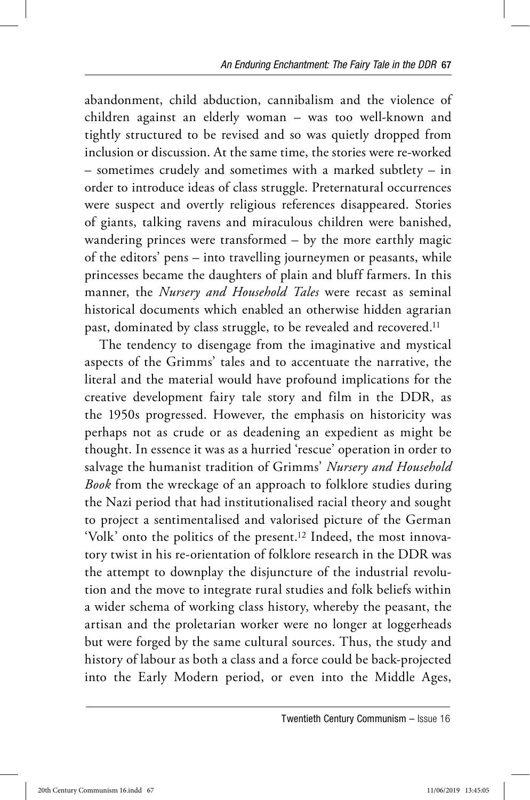abandonment, child abduction, cannibalism and the violence of children against an elderly woman – was too well-known and tightly structured to be revised and so was quietly dropped from inclusion or discussion. At the same time, the stories were re-worked – sometimes crudely and sometimes with a marked subtlety – in order to introduce ideas of class struggle. Preternatural occurrences were suspect and overtly religious references disappeared. Stories of giants, talking ravens and miraculous children were banished, wandering princes were transformed – by the more earthly magic of the editors' pens – into travelling journeymen or peasants, while princesses became the daughters of plain and bluff farmers. In this manner, the *Nursery and Household Tales* were recast as seminal historical documents which enabled an otherwise hidden agrarian past, dominated by class struggle, to be revealed and recovered.<sup>11</sup>

The tendency to disengage from the imaginative and mystical aspects of the Grimms' tales and to accentuate the narrative, the literal and the material would have profound implications for the creative development fairy tale story and film in the DDR, as the 1950s progressed. However, the emphasis on historicity was perhaps not as crude or as deadening an expedient as might be thought. In essence it was as a hurried 'rescue' operation in order to salvage the humanist tradition of Grimms' *Nursery and Household Book* from the wreckage of an approach to folklore studies during the Nazi period that had institutionalised racial theory and sought to project a sentimentalised and valorised picture of the German 'Volk' onto the politics of the present.12 Indeed, the most innovatory twist in his re-orientation of folklore research in the DDR was the attempt to downplay the disjuncture of the industrial revolution and the move to integrate rural studies and folk beliefs within a wider schema of working class history, whereby the peasant, the artisan and the proletarian worker were no longer at loggerheads but were forged by the same cultural sources. Thus, the study and history of labour as both a class and a force could be back-projected into the Early Modern period, or even into the Middle Ages,

Twentieth Century Communism – Issue 16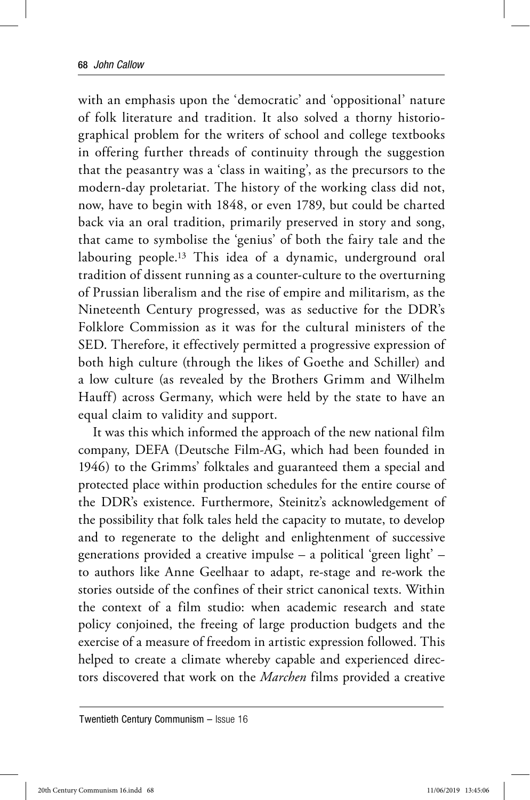with an emphasis upon the 'democratic' and 'oppositional' nature of folk literature and tradition. It also solved a thorny historiographical problem for the writers of school and college textbooks in offering further threads of continuity through the suggestion that the peasantry was a 'class in waiting', as the precursors to the modern-day proletariat. The history of the working class did not, now, have to begin with 1848, or even 1789, but could be charted back via an oral tradition, primarily preserved in story and song, that came to symbolise the 'genius' of both the fairy tale and the labouring people.13 This idea of a dynamic, underground oral tradition of dissent running as a counter-culture to the overturning of Prussian liberalism and the rise of empire and militarism, as the Nineteenth Century progressed, was as seductive for the DDR's Folklore Commission as it was for the cultural ministers of the SED. Therefore, it effectively permitted a progressive expression of both high culture (through the likes of Goethe and Schiller) and a low culture (as revealed by the Brothers Grimm and Wilhelm Hauff) across Germany, which were held by the state to have an equal claim to validity and support.

It was this which informed the approach of the new national film company, DEFA (Deutsche Film-AG, which had been founded in 1946) to the Grimms' folktales and guaranteed them a special and protected place within production schedules for the entire course of the DDR's existence. Furthermore, Steinitz's acknowledgement of the possibility that folk tales held the capacity to mutate, to develop and to regenerate to the delight and enlightenment of successive generations provided a creative impulse – a political 'green light' – to authors like Anne Geelhaar to adapt, re-stage and re-work the stories outside of the confines of their strict canonical texts. Within the context of a film studio: when academic research and state policy conjoined, the freeing of large production budgets and the exercise of a measure of freedom in artistic expression followed. This helped to create a climate whereby capable and experienced directors discovered that work on the *Marchen* films provided a creative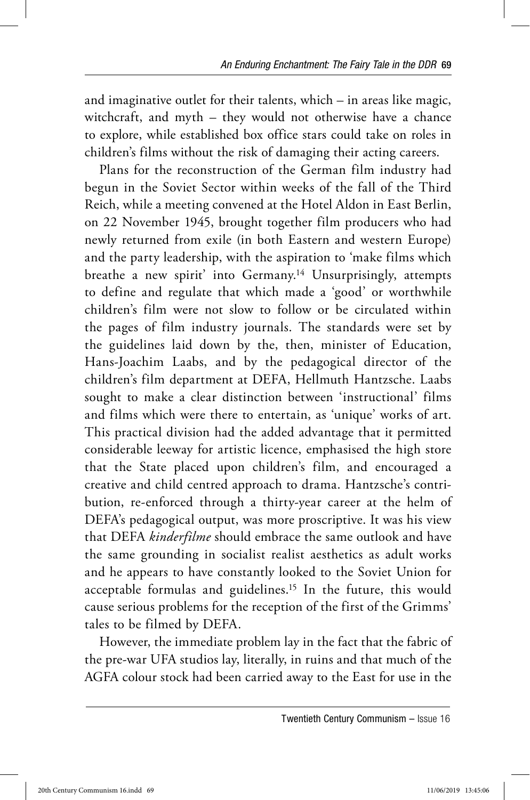and imaginative outlet for their talents, which – in areas like magic, witchcraft, and myth – they would not otherwise have a chance to explore, while established box office stars could take on roles in children's films without the risk of damaging their acting careers.

Plans for the reconstruction of the German film industry had begun in the Soviet Sector within weeks of the fall of the Third Reich, while a meeting convened at the Hotel Aldon in East Berlin, on 22 November 1945, brought together film producers who had newly returned from exile (in both Eastern and western Europe) and the party leadership, with the aspiration to 'make films which breathe a new spirit' into Germany.14 Unsurprisingly, attempts to define and regulate that which made a 'good' or worthwhile children's film were not slow to follow or be circulated within the pages of film industry journals. The standards were set by the guidelines laid down by the, then, minister of Education, Hans-Joachim Laabs, and by the pedagogical director of the children's film department at DEFA, Hellmuth Hantzsche. Laabs sought to make a clear distinction between 'instructional' films and films which were there to entertain, as 'unique' works of art. This practical division had the added advantage that it permitted considerable leeway for artistic licence, emphasised the high store that the State placed upon children's film, and encouraged a creative and child centred approach to drama. Hantzsche's contribution, re-enforced through a thirty-year career at the helm of DEFA's pedagogical output, was more proscriptive. It was his view that DEFA *kinderfilme* should embrace the same outlook and have the same grounding in socialist realist aesthetics as adult works and he appears to have constantly looked to the Soviet Union for acceptable formulas and guidelines.15 In the future, this would cause serious problems for the reception of the first of the Grimms' tales to be filmed by DEFA.

However, the immediate problem lay in the fact that the fabric of the pre-war UFA studios lay, literally, in ruins and that much of the AGFA colour stock had been carried away to the East for use in the

Twentieth Century Communism – Issue 16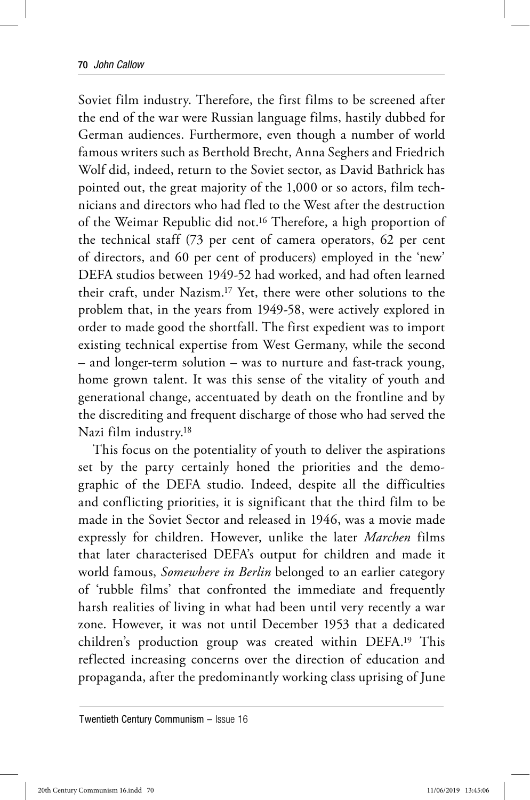Soviet film industry. Therefore, the first films to be screened after the end of the war were Russian language films, hastily dubbed for German audiences. Furthermore, even though a number of world famous writers such as Berthold Brecht, Anna Seghers and Friedrich Wolf did, indeed, return to the Soviet sector, as David Bathrick has pointed out, the great majority of the 1,000 or so actors, film technicians and directors who had fled to the West after the destruction of the Weimar Republic did not.16 Therefore, a high proportion of the technical staff (73 per cent of camera operators, 62 per cent of directors, and 60 per cent of producers) employed in the 'new' DEFA studios between 1949-52 had worked, and had often learned their craft, under Nazism.17 Yet, there were other solutions to the problem that, in the years from 1949-58, were actively explored in order to made good the shortfall. The first expedient was to import existing technical expertise from West Germany, while the second – and longer-term solution – was to nurture and fast-track young, home grown talent. It was this sense of the vitality of youth and generational change, accentuated by death on the frontline and by the discrediting and frequent discharge of those who had served the Nazi film industry.18

This focus on the potentiality of youth to deliver the aspirations set by the party certainly honed the priorities and the demographic of the DEFA studio. Indeed, despite all the difficulties and conflicting priorities, it is significant that the third film to be made in the Soviet Sector and released in 1946, was a movie made expressly for children. However, unlike the later *Marchen* films that later characterised DEFA's output for children and made it world famous, *Somewhere in Berlin* belonged to an earlier category of 'rubble films' that confronted the immediate and frequently harsh realities of living in what had been until very recently a war zone. However, it was not until December 1953 that a dedicated children's production group was created within DEFA.19 This reflected increasing concerns over the direction of education and propaganda, after the predominantly working class uprising of June

Twentieth Century Communism – Issue 16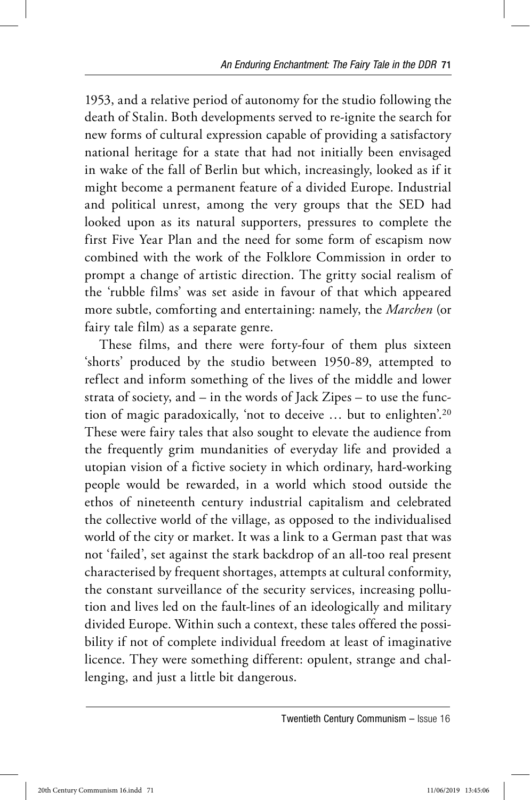1953, and a relative period of autonomy for the studio following the death of Stalin. Both developments served to re-ignite the search for new forms of cultural expression capable of providing a satisfactory national heritage for a state that had not initially been envisaged in wake of the fall of Berlin but which, increasingly, looked as if it might become a permanent feature of a divided Europe. Industrial and political unrest, among the very groups that the SED had looked upon as its natural supporters, pressures to complete the first Five Year Plan and the need for some form of escapism now combined with the work of the Folklore Commission in order to prompt a change of artistic direction. The gritty social realism of the 'rubble films' was set aside in favour of that which appeared more subtle, comforting and entertaining: namely, the *Marchen* (or fairy tale film) as a separate genre.

These films, and there were forty-four of them plus sixteen 'shorts' produced by the studio between 1950-89, attempted to reflect and inform something of the lives of the middle and lower strata of society, and – in the words of Jack Zipes – to use the function of magic paradoxically, 'not to deceive … but to enlighten'.20 These were fairy tales that also sought to elevate the audience from the frequently grim mundanities of everyday life and provided a utopian vision of a fictive society in which ordinary, hard-working people would be rewarded, in a world which stood outside the ethos of nineteenth century industrial capitalism and celebrated the collective world of the village, as opposed to the individualised world of the city or market. It was a link to a German past that was not 'failed', set against the stark backdrop of an all-too real present characterised by frequent shortages, attempts at cultural conformity, the constant surveillance of the security services, increasing pollution and lives led on the fault-lines of an ideologically and military divided Europe. Within such a context, these tales offered the possibility if not of complete individual freedom at least of imaginative licence. They were something different: opulent, strange and challenging, and just a little bit dangerous.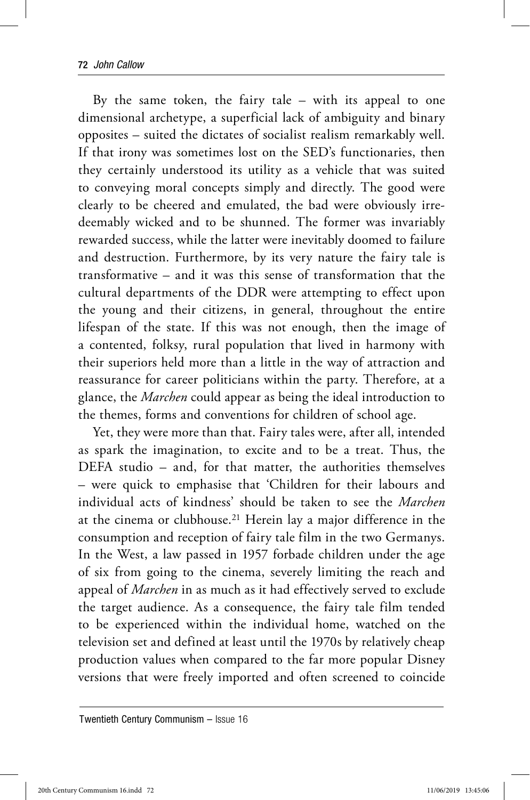By the same token, the fairy tale – with its appeal to one dimensional archetype, a superficial lack of ambiguity and binary opposites – suited the dictates of socialist realism remarkably well. If that irony was sometimes lost on the SED's functionaries, then they certainly understood its utility as a vehicle that was suited to conveying moral concepts simply and directly. The good were clearly to be cheered and emulated, the bad were obviously irredeemably wicked and to be shunned. The former was invariably rewarded success, while the latter were inevitably doomed to failure and destruction. Furthermore, by its very nature the fairy tale is transformative – and it was this sense of transformation that the cultural departments of the DDR were attempting to effect upon the young and their citizens, in general, throughout the entire lifespan of the state. If this was not enough, then the image of a contented, folksy, rural population that lived in harmony with their superiors held more than a little in the way of attraction and reassurance for career politicians within the party. Therefore, at a glance, the *Marchen* could appear as being the ideal introduction to the themes, forms and conventions for children of school age.

Yet, they were more than that. Fairy tales were, after all, intended as spark the imagination, to excite and to be a treat. Thus, the DEFA studio – and, for that matter, the authorities themselves – were quick to emphasise that 'Children for their labours and individual acts of kindness' should be taken to see the *Marchen*  at the cinema or clubhouse.21 Herein lay a major difference in the consumption and reception of fairy tale film in the two Germanys. In the West, a law passed in 1957 forbade children under the age of six from going to the cinema, severely limiting the reach and appeal of *Marchen* in as much as it had effectively served to exclude the target audience. As a consequence, the fairy tale film tended to be experienced within the individual home, watched on the television set and defined at least until the 1970s by relatively cheap production values when compared to the far more popular Disney versions that were freely imported and often screened to coincide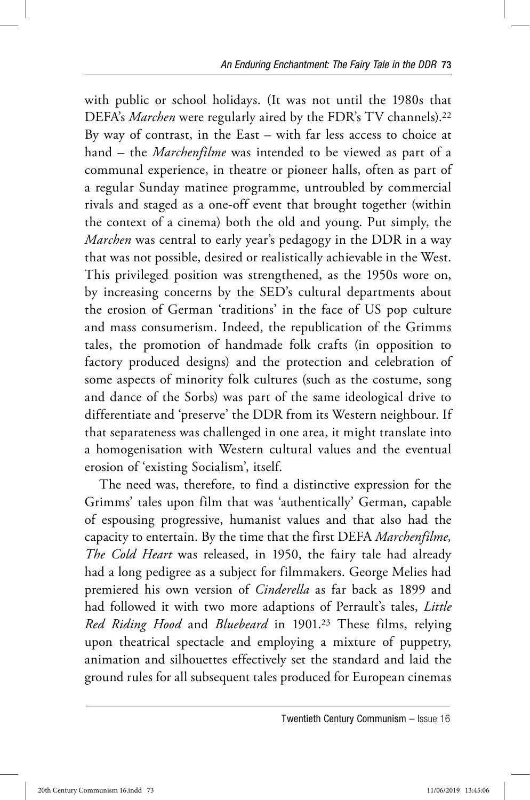with public or school holidays. (It was not until the 1980s that DEFA's *Marchen* were regularly aired by the FDR's TV channels).22 By way of contrast, in the East – with far less access to choice at hand – the *Marchenfilme* was intended to be viewed as part of a communal experience, in theatre or pioneer halls, often as part of a regular Sunday matinee programme, untroubled by commercial rivals and staged as a one-off event that brought together (within the context of a cinema) both the old and young. Put simply, the *Marchen* was central to early year's pedagogy in the DDR in a way that was not possible, desired or realistically achievable in the West. This privileged position was strengthened, as the 1950s wore on, by increasing concerns by the SED's cultural departments about the erosion of German 'traditions' in the face of US pop culture and mass consumerism. Indeed, the republication of the Grimms tales, the promotion of handmade folk crafts (in opposition to factory produced designs) and the protection and celebration of some aspects of minority folk cultures (such as the costume, song and dance of the Sorbs) was part of the same ideological drive to differentiate and 'preserve' the DDR from its Western neighbour. If that separateness was challenged in one area, it might translate into a homogenisation with Western cultural values and the eventual erosion of 'existing Socialism', itself.

The need was, therefore, to find a distinctive expression for the Grimms' tales upon film that was 'authentically' German, capable of espousing progressive, humanist values and that also had the capacity to entertain. By the time that the first DEFA *Marchenfilme, The Cold Heart* was released, in 1950, the fairy tale had already had a long pedigree as a subject for filmmakers. George Melies had premiered his own version of *Cinderella* as far back as 1899 and had followed it with two more adaptions of Perrault's tales, *Little Red Riding Hood* and *Bluebeard* in 1901.23 These films, relying upon theatrical spectacle and employing a mixture of puppetry, animation and silhouettes effectively set the standard and laid the ground rules for all subsequent tales produced for European cinemas

Twentieth Century Communism – Issue 16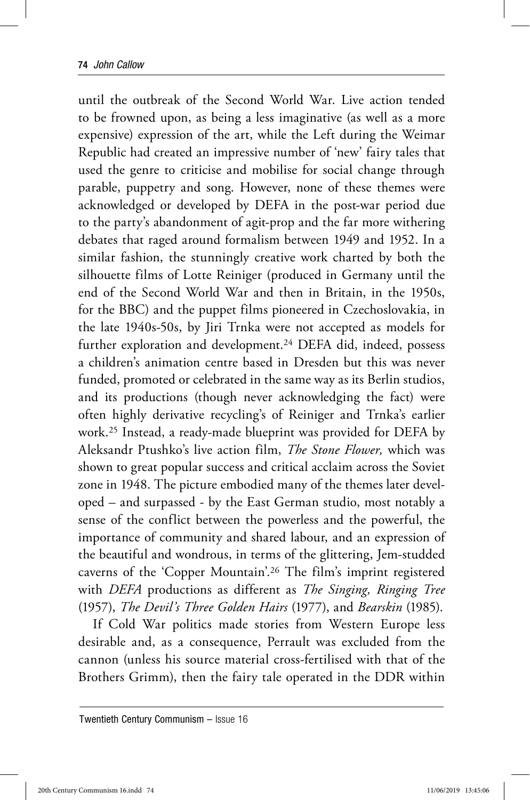until the outbreak of the Second World War. Live action tended to be frowned upon, as being a less imaginative (as well as a more expensive) expression of the art, while the Left during the Weimar Republic had created an impressive number of 'new' fairy tales that used the genre to criticise and mobilise for social change through parable, puppetry and song. However, none of these themes were acknowledged or developed by DEFA in the post-war period due to the party's abandonment of agit-prop and the far more withering debates that raged around formalism between 1949 and 1952. In a similar fashion, the stunningly creative work charted by both the silhouette films of Lotte Reiniger (produced in Germany until the end of the Second World War and then in Britain, in the 1950s, for the BBC) and the puppet films pioneered in Czechoslovakia, in the late 1940s-50s, by Jiri Trnka were not accepted as models for further exploration and development.24 DEFA did, indeed, possess a children's animation centre based in Dresden but this was never funded, promoted or celebrated in the same way as its Berlin studios, and its productions (though never acknowledging the fact) were often highly derivative recycling's of Reiniger and Trnka's earlier work.25 Instead, a ready-made blueprint was provided for DEFA by Aleksandr Ptushko's live action film, *The Stone Flower,* which was shown to great popular success and critical acclaim across the Soviet zone in 1948. The picture embodied many of the themes later developed – and surpassed - by the East German studio, most notably a sense of the conflict between the powerless and the powerful, the importance of community and shared labour, and an expression of the beautiful and wondrous, in terms of the glittering, Jem-studded caverns of the 'Copper Mountain'.26 The film's imprint registered with *DEFA* productions as different as *The Singing, Ringing Tree*  (1957), *The Devil's Three Golden Hairs* (1977), and *Bearskin* (1985).

If Cold War politics made stories from Western Europe less desirable and, as a consequence, Perrault was excluded from the cannon (unless his source material cross-fertilised with that of the Brothers Grimm), then the fairy tale operated in the DDR within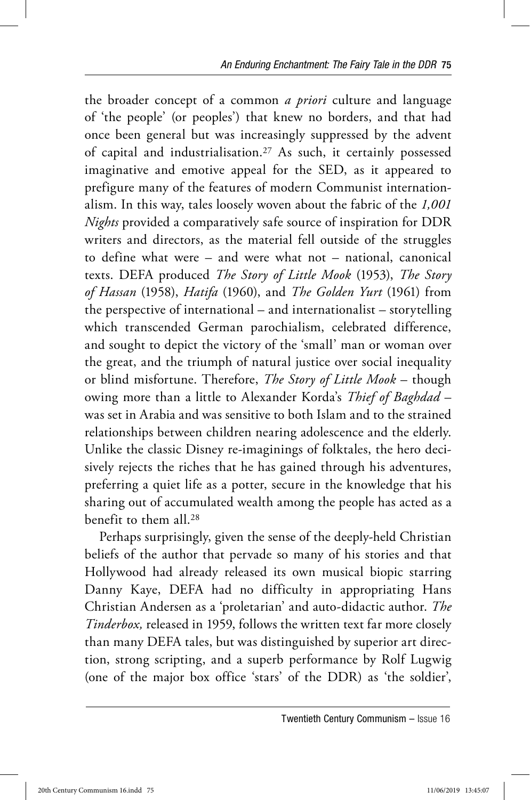the broader concept of a common *a priori* culture and language of 'the people' (or peoples') that knew no borders, and that had once been general but was increasingly suppressed by the advent of capital and industrialisation.27 As such, it certainly possessed imaginative and emotive appeal for the SED, as it appeared to prefigure many of the features of modern Communist internationalism. In this way, tales loosely woven about the fabric of the *1,001 Nights* provided a comparatively safe source of inspiration for DDR writers and directors, as the material fell outside of the struggles to define what were – and were what not – national, canonical texts. DEFA produced *The Story of Little Mook* (1953), *The Story of Hassan* (1958), *Hatifa* (1960), and *The Golden Yurt* (1961) from the perspective of international – and internationalist – storytelling which transcended German parochialism, celebrated difference, and sought to depict the victory of the 'small' man or woman over the great, and the triumph of natural justice over social inequality or blind misfortune. Therefore, *The Story of Little Mook* – though owing more than a little to Alexander Korda's *Thief of Baghdad* – was set in Arabia and was sensitive to both Islam and to the strained relationships between children nearing adolescence and the elderly. Unlike the classic Disney re-imaginings of folktales, the hero decisively rejects the riches that he has gained through his adventures, preferring a quiet life as a potter, secure in the knowledge that his sharing out of accumulated wealth among the people has acted as a benefit to them all.28

Perhaps surprisingly, given the sense of the deeply-held Christian beliefs of the author that pervade so many of his stories and that Hollywood had already released its own musical biopic starring Danny Kaye, DEFA had no difficulty in appropriating Hans Christian Andersen as a 'proletarian' and auto-didactic author. *The Tinderbox,* released in 1959, follows the written text far more closely than many DEFA tales, but was distinguished by superior art direction, strong scripting, and a superb performance by Rolf Lugwig (one of the major box office 'stars' of the DDR) as 'the soldier',

Twentieth Century Communism – Issue 16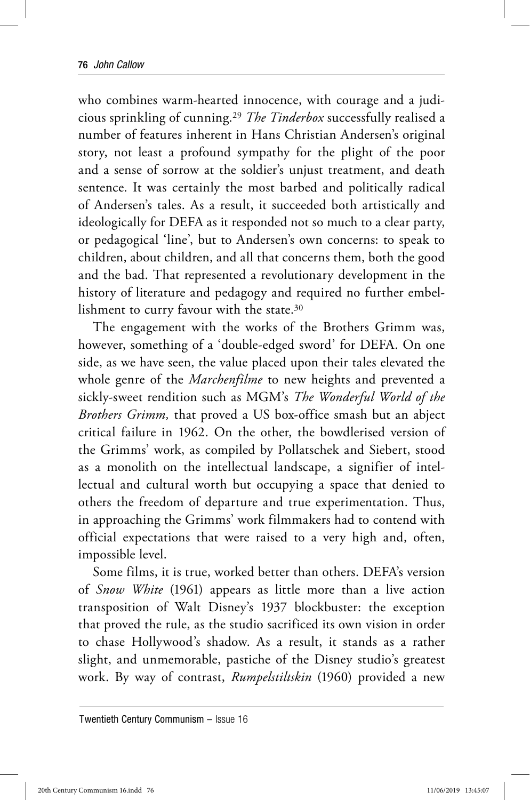who combines warm-hearted innocence, with courage and a judicious sprinkling of cunning.29 *The Tinderbox* successfully realised a number of features inherent in Hans Christian Andersen's original story, not least a profound sympathy for the plight of the poor and a sense of sorrow at the soldier's unjust treatment, and death sentence. It was certainly the most barbed and politically radical of Andersen's tales. As a result, it succeeded both artistically and ideologically for DEFA as it responded not so much to a clear party, or pedagogical 'line', but to Andersen's own concerns: to speak to children, about children, and all that concerns them, both the good and the bad. That represented a revolutionary development in the history of literature and pedagogy and required no further embellishment to curry favour with the state.<sup>30</sup>

The engagement with the works of the Brothers Grimm was, however, something of a 'double-edged sword' for DEFA. On one side, as we have seen, the value placed upon their tales elevated the whole genre of the *Marchenfilme* to new heights and prevented a sickly-sweet rendition such as MGM's *The Wonderful World of the Brothers Grimm,* that proved a US box-office smash but an abject critical failure in 1962. On the other, the bowdlerised version of the Grimms' work, as compiled by Pollatschek and Siebert, stood as a monolith on the intellectual landscape, a signifier of intellectual and cultural worth but occupying a space that denied to others the freedom of departure and true experimentation. Thus, in approaching the Grimms' work filmmakers had to contend with official expectations that were raised to a very high and, often, impossible level.

Some films, it is true, worked better than others. DEFA's version of *Snow White* (1961) appears as little more than a live action transposition of Walt Disney's 1937 blockbuster: the exception that proved the rule, as the studio sacrificed its own vision in order to chase Hollywood's shadow. As a result, it stands as a rather slight, and unmemorable, pastiche of the Disney studio's greatest work. By way of contrast, *Rumpelstiltskin* (1960) provided a new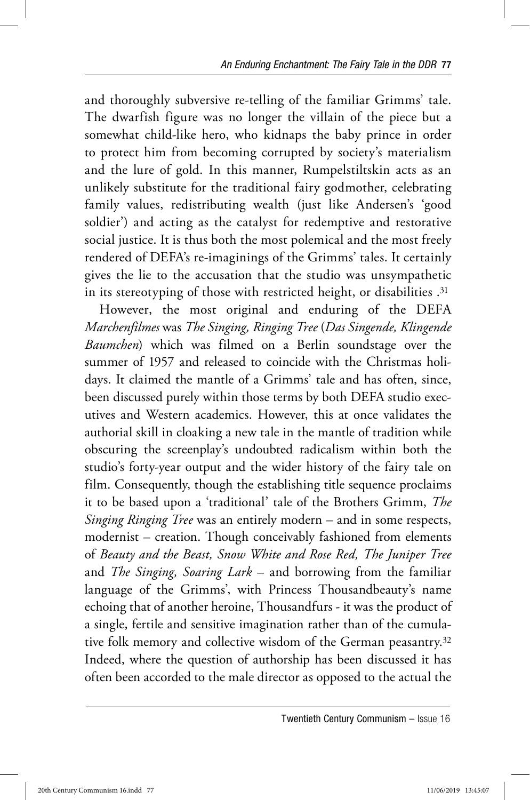and thoroughly subversive re-telling of the familiar Grimms' tale. The dwarfish figure was no longer the villain of the piece but a somewhat child-like hero, who kidnaps the baby prince in order to protect him from becoming corrupted by society's materialism and the lure of gold. In this manner, Rumpelstiltskin acts as an unlikely substitute for the traditional fairy godmother, celebrating family values, redistributing wealth (just like Andersen's 'good soldier') and acting as the catalyst for redemptive and restorative social justice. It is thus both the most polemical and the most freely rendered of DEFA's re-imaginings of the Grimms' tales. It certainly gives the lie to the accusation that the studio was unsympathetic in its stereotyping of those with restricted height, or disabilities .31

However, the most original and enduring of the DEFA *Marchenfilmes* was *The Singing, Ringing Tree* (*Das Singende, Klingende Baumchen*) which was filmed on a Berlin soundstage over the summer of 1957 and released to coincide with the Christmas holidays. It claimed the mantle of a Grimms' tale and has often, since, been discussed purely within those terms by both DEFA studio executives and Western academics. However, this at once validates the authorial skill in cloaking a new tale in the mantle of tradition while obscuring the screenplay's undoubted radicalism within both the studio's forty-year output and the wider history of the fairy tale on film. Consequently, though the establishing title sequence proclaims it to be based upon a 'traditional' tale of the Brothers Grimm, *The Singing Ringing Tree* was an entirely modern – and in some respects, modernist – creation. Though conceivably fashioned from elements of *Beauty and the Beast, Snow White and Rose Red, The Juniper Tree*  and *The Singing, Soaring Lark* – and borrowing from the familiar language of the Grimms', with Princess Thousandbeauty's name echoing that of another heroine, Thousandfurs - it was the product of a single, fertile and sensitive imagination rather than of the cumulative folk memory and collective wisdom of the German peasantry.32 Indeed, where the question of authorship has been discussed it has often been accorded to the male director as opposed to the actual the

Twentieth Century Communism – Issue 16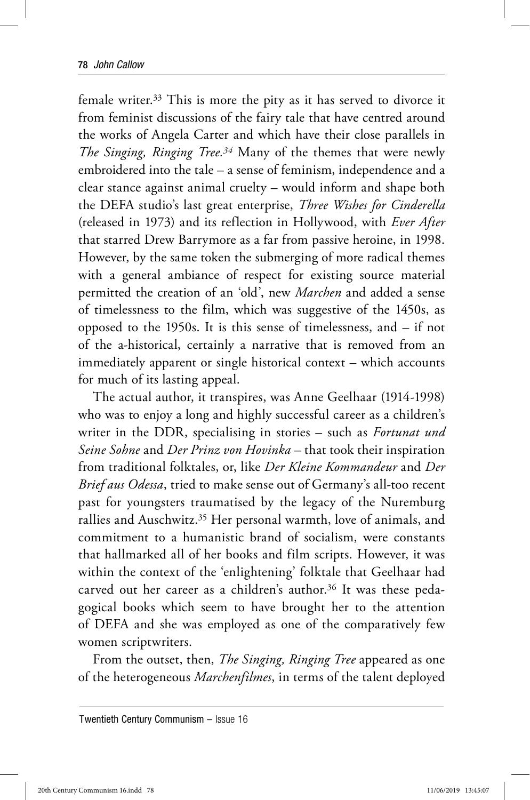female writer.33 This is more the pity as it has served to divorce it from feminist discussions of the fairy tale that have centred around the works of Angela Carter and which have their close parallels in *The Singing, Ringing Tree.34* Many of the themes that were newly embroidered into the tale – a sense of feminism, independence and a clear stance against animal cruelty – would inform and shape both the DEFA studio's last great enterprise, *Three Wishes for Cinderella*  (released in 1973) and its reflection in Hollywood, with *Ever After*  that starred Drew Barrymore as a far from passive heroine, in 1998. However, by the same token the submerging of more radical themes with a general ambiance of respect for existing source material permitted the creation of an 'old', new *Marchen* and added a sense of timelessness to the film, which was suggestive of the 1450s, as opposed to the 1950s. It is this sense of timelessness, and – if not of the a-historical, certainly a narrative that is removed from an immediately apparent or single historical context – which accounts for much of its lasting appeal.

The actual author, it transpires, was Anne Geelhaar (1914-1998) who was to enjoy a long and highly successful career as a children's writer in the DDR, specialising in stories – such as *Fortunat und Seine Sohne* and *Der Prinz von Hovinka* – that took their inspiration from traditional folktales, or, like *Der Kleine Kommandeur* and *Der Brief aus Odessa*, tried to make sense out of Germany's all-too recent past for youngsters traumatised by the legacy of the Nuremburg rallies and Auschwitz.35 Her personal warmth, love of animals, and commitment to a humanistic brand of socialism, were constants that hallmarked all of her books and film scripts. However, it was within the context of the 'enlightening' folktale that Geelhaar had carved out her career as a children's author.<sup>36</sup> It was these pedagogical books which seem to have brought her to the attention of DEFA and she was employed as one of the comparatively few women scriptwriters.

From the outset, then, *The Singing, Ringing Tree* appeared as one of the heterogeneous *Marchenfilmes*, in terms of the talent deployed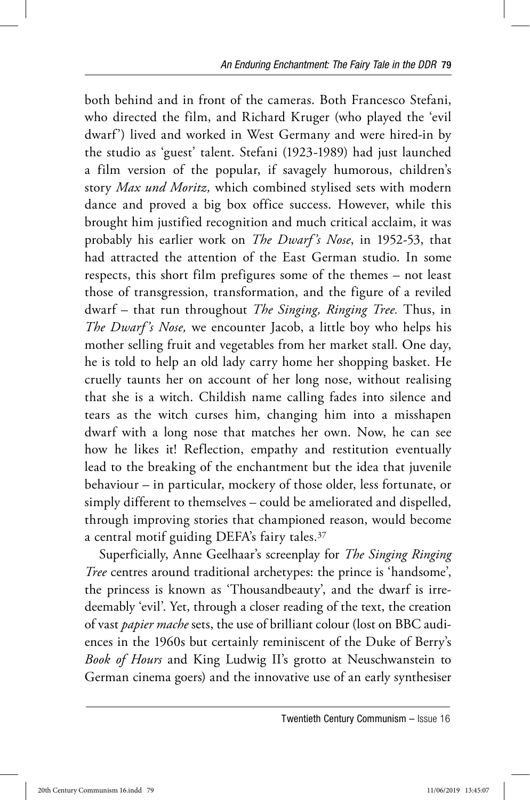both behind and in front of the cameras. Both Francesco Stefani, who directed the film, and Richard Kruger (who played the 'evil dwarf') lived and worked in West Germany and were hired-in by the studio as 'guest' talent. Stefani (1923-1989) had just launched a film version of the popular, if savagely humorous, children's story *Max und Moritz,* which combined stylised sets with modern dance and proved a big box office success. However, while this brought him justified recognition and much critical acclaim, it was probably his earlier work on *The Dwarf 's Nose*, in 1952-53, that had attracted the attention of the East German studio. In some respects, this short film prefigures some of the themes – not least those of transgression, transformation, and the figure of a reviled dwarf – that run throughout *The Singing, Ringing Tree.* Thus, in *The Dwarf 's Nose,* we encounter Jacob, a little boy who helps his mother selling fruit and vegetables from her market stall. One day, he is told to help an old lady carry home her shopping basket. He cruelly taunts her on account of her long nose, without realising that she is a witch. Childish name calling fades into silence and tears as the witch curses him, changing him into a misshapen dwarf with a long nose that matches her own. Now, he can see how he likes it! Reflection, empathy and restitution eventually lead to the breaking of the enchantment but the idea that juvenile behaviour – in particular, mockery of those older, less fortunate, or simply different to themselves – could be ameliorated and dispelled, through improving stories that championed reason, would become a central motif guiding DEFA's fairy tales.37

Superficially, Anne Geelhaar's screenplay for *The Singing Ringing Tree* centres around traditional archetypes: the prince is 'handsome', the princess is known as 'Thousandbeauty', and the dwarf is irredeemably 'evil'. Yet, through a closer reading of the text, the creation of vast *papier mache* sets, the use of brilliant colour (lost on BBC audiences in the 1960s but certainly reminiscent of the Duke of Berry's *Book of Hours* and King Ludwig II's grotto at Neuschwanstein to German cinema goers) and the innovative use of an early synthesiser

Twentieth Century Communism – Issue 16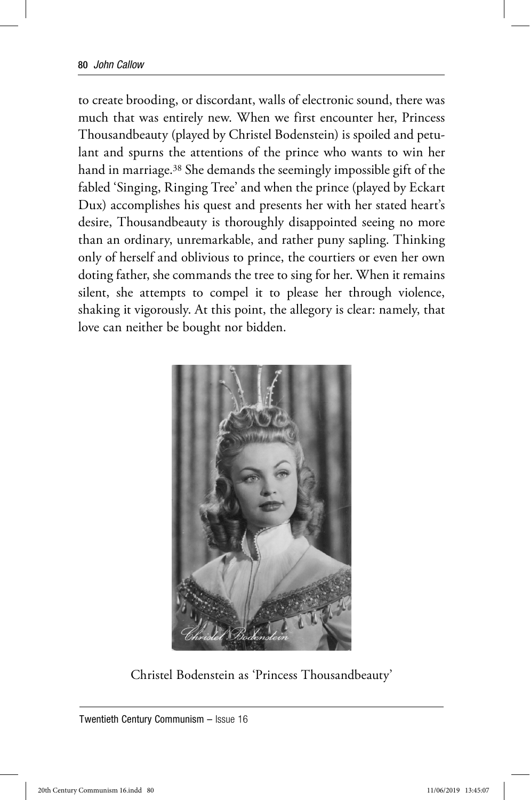to create brooding, or discordant, walls of electronic sound, there was much that was entirely new. When we first encounter her, Princess Thousandbeauty (played by Christel Bodenstein) is spoiled and petulant and spurns the attentions of the prince who wants to win her hand in marriage.38 She demands the seemingly impossible gift of the fabled 'Singing, Ringing Tree' and when the prince (played by Eckart Dux) accomplishes his quest and presents her with her stated heart's desire, Thousandbeauty is thoroughly disappointed seeing no more than an ordinary, unremarkable, and rather puny sapling. Thinking only of herself and oblivious to prince, the courtiers or even her own doting father, she commands the tree to sing for her. When it remains silent, she attempts to compel it to please her through violence, shaking it vigorously. At this point, the allegory is clear: namely, that love can neither be bought nor bidden.



Christel Bodenstein as 'Princess Thousandbeauty'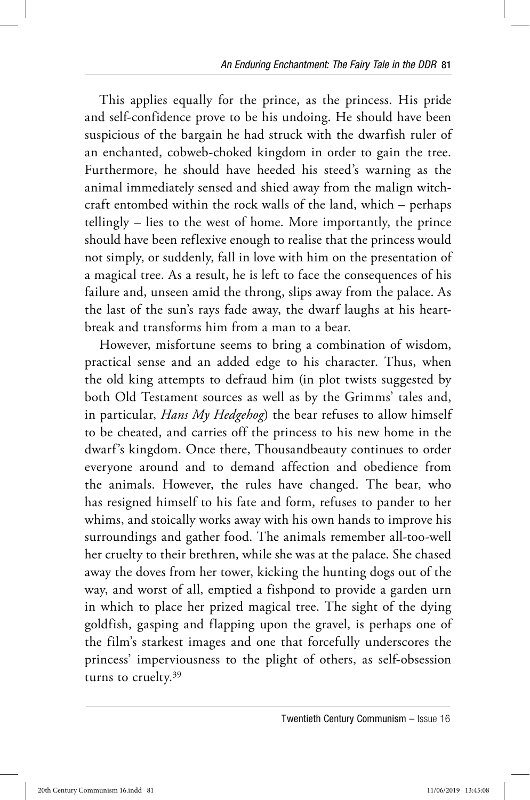This applies equally for the prince, as the princess. His pride and self-confidence prove to be his undoing. He should have been suspicious of the bargain he had struck with the dwarfish ruler of an enchanted, cobweb-choked kingdom in order to gain the tree. Furthermore, he should have heeded his steed's warning as the animal immediately sensed and shied away from the malign witchcraft entombed within the rock walls of the land, which – perhaps tellingly – lies to the west of home. More importantly, the prince should have been reflexive enough to realise that the princess would not simply, or suddenly, fall in love with him on the presentation of a magical tree. As a result, he is left to face the consequences of his failure and, unseen amid the throng, slips away from the palace. As the last of the sun's rays fade away, the dwarf laughs at his heartbreak and transforms him from a man to a bear.

However, misfortune seems to bring a combination of wisdom, practical sense and an added edge to his character. Thus, when the old king attempts to defraud him (in plot twists suggested by both Old Testament sources as well as by the Grimms' tales and, in particular, *Hans My Hedgehog*) the bear refuses to allow himself to be cheated, and carries off the princess to his new home in the dwarf's kingdom. Once there, Thousandbeauty continues to order everyone around and to demand affection and obedience from the animals. However, the rules have changed. The bear, who has resigned himself to his fate and form, refuses to pander to her whims, and stoically works away with his own hands to improve his surroundings and gather food. The animals remember all-too-well her cruelty to their brethren, while she was at the palace. She chased away the doves from her tower, kicking the hunting dogs out of the way, and worst of all, emptied a fishpond to provide a garden urn in which to place her prized magical tree. The sight of the dying goldfish, gasping and flapping upon the gravel, is perhaps one of the film's starkest images and one that forcefully underscores the princess' imperviousness to the plight of others, as self-obsession turns to cruelty.<sup>39</sup>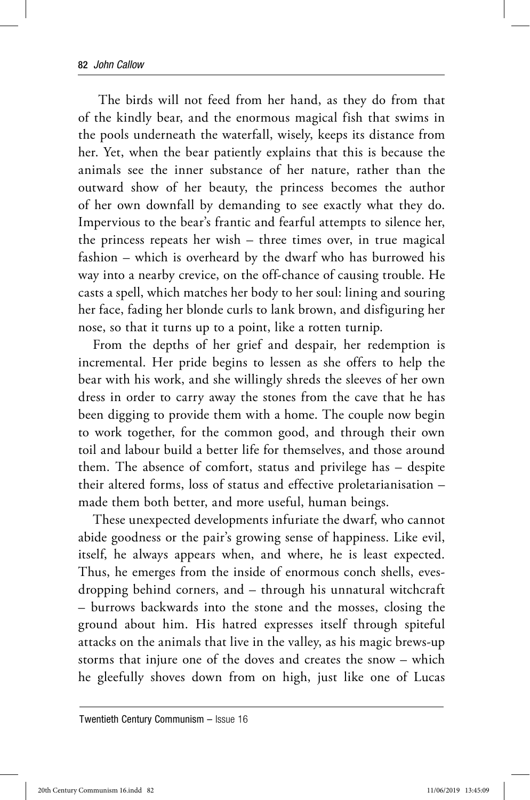The birds will not feed from her hand, as they do from that of the kindly bear, and the enormous magical fish that swims in the pools underneath the waterfall, wisely, keeps its distance from her. Yet, when the bear patiently explains that this is because the animals see the inner substance of her nature, rather than the outward show of her beauty, the princess becomes the author of her own downfall by demanding to see exactly what they do. Impervious to the bear's frantic and fearful attempts to silence her, the princess repeats her wish – three times over, in true magical fashion – which is overheard by the dwarf who has burrowed his way into a nearby crevice, on the off-chance of causing trouble. He casts a spell, which matches her body to her soul: lining and souring her face, fading her blonde curls to lank brown, and disfiguring her nose, so that it turns up to a point, like a rotten turnip.

From the depths of her grief and despair, her redemption is incremental. Her pride begins to lessen as she offers to help the bear with his work, and she willingly shreds the sleeves of her own dress in order to carry away the stones from the cave that he has been digging to provide them with a home. The couple now begin to work together, for the common good, and through their own toil and labour build a better life for themselves, and those around them. The absence of comfort, status and privilege has – despite their altered forms, loss of status and effective proletarianisation – made them both better, and more useful, human beings.

These unexpected developments infuriate the dwarf, who cannot abide goodness or the pair's growing sense of happiness. Like evil, itself, he always appears when, and where, he is least expected. Thus, he emerges from the inside of enormous conch shells, evesdropping behind corners, and – through his unnatural witchcraft – burrows backwards into the stone and the mosses, closing the ground about him. His hatred expresses itself through spiteful attacks on the animals that live in the valley, as his magic brews-up storms that injure one of the doves and creates the snow – which he gleefully shoves down from on high, just like one of Lucas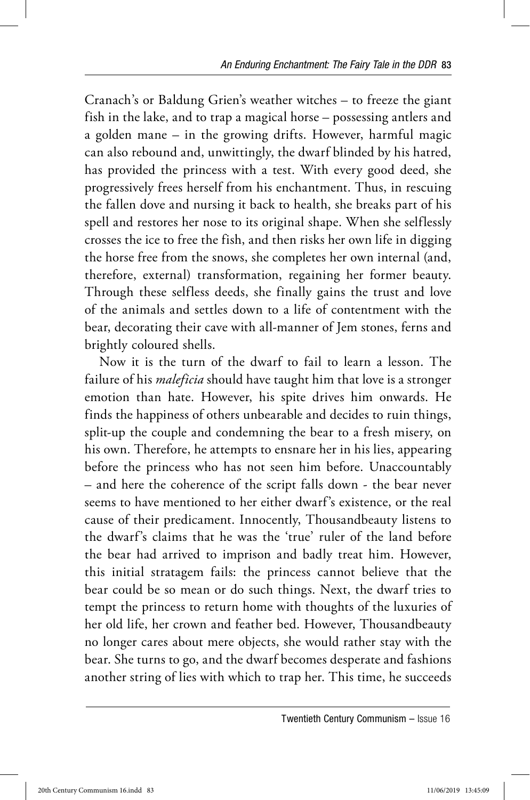Cranach's or Baldung Grien's weather witches – to freeze the giant fish in the lake, and to trap a magical horse – possessing antlers and a golden mane – in the growing drifts. However, harmful magic can also rebound and, unwittingly, the dwarf blinded by his hatred, has provided the princess with a test. With every good deed, she progressively frees herself from his enchantment. Thus, in rescuing the fallen dove and nursing it back to health, she breaks part of his spell and restores her nose to its original shape. When she selflessly crosses the ice to free the fish, and then risks her own life in digging the horse free from the snows, she completes her own internal (and, therefore, external) transformation, regaining her former beauty. Through these selfless deeds, she finally gains the trust and love of the animals and settles down to a life of contentment with the bear, decorating their cave with all-manner of Jem stones, ferns and brightly coloured shells.

Now it is the turn of the dwarf to fail to learn a lesson. The failure of his *maleficia* should have taught him that love is a stronger emotion than hate. However, his spite drives him onwards. He finds the happiness of others unbearable and decides to ruin things, split-up the couple and condemning the bear to a fresh misery, on his own. Therefore, he attempts to ensnare her in his lies, appearing before the princess who has not seen him before. Unaccountably – and here the coherence of the script falls down - the bear never seems to have mentioned to her either dwarf's existence, or the real cause of their predicament. Innocently, Thousandbeauty listens to the dwarf's claims that he was the 'true' ruler of the land before the bear had arrived to imprison and badly treat him. However, this initial stratagem fails: the princess cannot believe that the bear could be so mean or do such things. Next, the dwarf tries to tempt the princess to return home with thoughts of the luxuries of her old life, her crown and feather bed. However, Thousandbeauty no longer cares about mere objects, she would rather stay with the bear. She turns to go, and the dwarf becomes desperate and fashions another string of lies with which to trap her. This time, he succeeds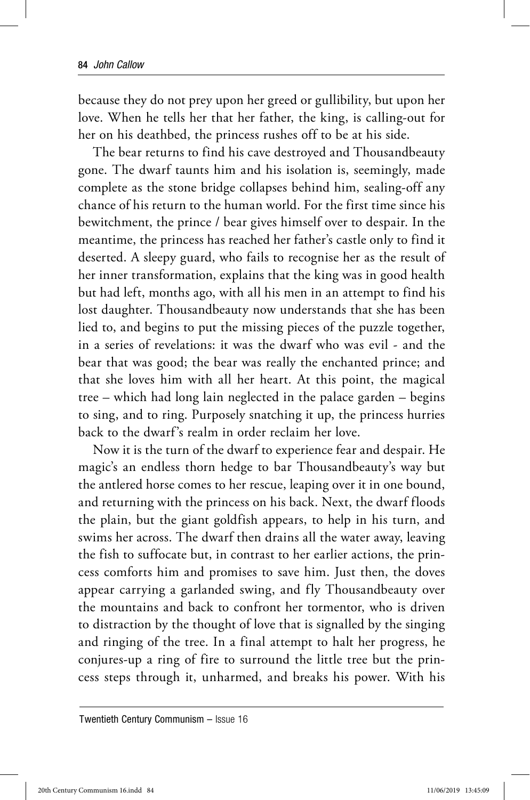because they do not prey upon her greed or gullibility, but upon her love. When he tells her that her father, the king, is calling-out for her on his deathbed, the princess rushes off to be at his side.

The bear returns to find his cave destroyed and Thousandbeauty gone. The dwarf taunts him and his isolation is, seemingly, made complete as the stone bridge collapses behind him, sealing-off any chance of his return to the human world. For the first time since his bewitchment, the prince / bear gives himself over to despair. In the meantime, the princess has reached her father's castle only to find it deserted. A sleepy guard, who fails to recognise her as the result of her inner transformation, explains that the king was in good health but had left, months ago, with all his men in an attempt to find his lost daughter. Thousandbeauty now understands that she has been lied to, and begins to put the missing pieces of the puzzle together, in a series of revelations: it was the dwarf who was evil - and the bear that was good; the bear was really the enchanted prince; and that she loves him with all her heart. At this point, the magical tree – which had long lain neglected in the palace garden – begins to sing, and to ring. Purposely snatching it up, the princess hurries back to the dwarf's realm in order reclaim her love.

Now it is the turn of the dwarf to experience fear and despair. He magic's an endless thorn hedge to bar Thousandbeauty's way but the antlered horse comes to her rescue, leaping over it in one bound, and returning with the princess on his back. Next, the dwarf floods the plain, but the giant goldfish appears, to help in his turn, and swims her across. The dwarf then drains all the water away, leaving the fish to suffocate but, in contrast to her earlier actions, the princess comforts him and promises to save him. Just then, the doves appear carrying a garlanded swing, and fly Thousandbeauty over the mountains and back to confront her tormentor, who is driven to distraction by the thought of love that is signalled by the singing and ringing of the tree. In a final attempt to halt her progress, he conjures-up a ring of fire to surround the little tree but the princess steps through it, unharmed, and breaks his power. With his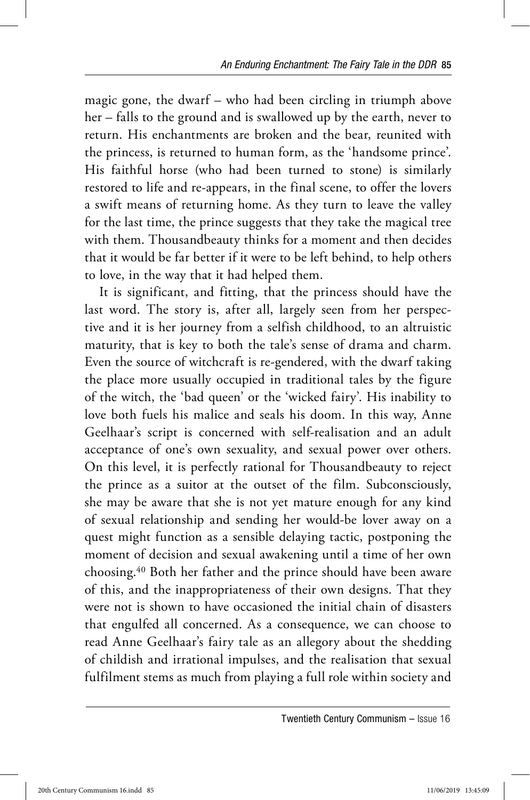magic gone, the dwarf – who had been circling in triumph above her – falls to the ground and is swallowed up by the earth, never to return. His enchantments are broken and the bear, reunited with the princess, is returned to human form, as the 'handsome prince'. His faithful horse (who had been turned to stone) is similarly restored to life and re-appears, in the final scene, to offer the lovers a swift means of returning home. As they turn to leave the valley for the last time, the prince suggests that they take the magical tree with them. Thousandbeauty thinks for a moment and then decides that it would be far better if it were to be left behind, to help others to love, in the way that it had helped them.

It is significant, and fitting, that the princess should have the last word. The story is, after all, largely seen from her perspective and it is her journey from a selfish childhood, to an altruistic maturity, that is key to both the tale's sense of drama and charm. Even the source of witchcraft is re-gendered, with the dwarf taking the place more usually occupied in traditional tales by the figure of the witch, the 'bad queen' or the 'wicked fairy'. His inability to love both fuels his malice and seals his doom. In this way, Anne Geelhaar's script is concerned with self-realisation and an adult acceptance of one's own sexuality, and sexual power over others. On this level, it is perfectly rational for Thousandbeauty to reject the prince as a suitor at the outset of the film. Subconsciously, she may be aware that she is not yet mature enough for any kind of sexual relationship and sending her would-be lover away on a quest might function as a sensible delaying tactic, postponing the moment of decision and sexual awakening until a time of her own choosing.40 Both her father and the prince should have been aware of this, and the inappropriateness of their own designs. That they were not is shown to have occasioned the initial chain of disasters that engulfed all concerned. As a consequence, we can choose to read Anne Geelhaar's fairy tale as an allegory about the shedding of childish and irrational impulses, and the realisation that sexual fulfilment stems as much from playing a full role within society and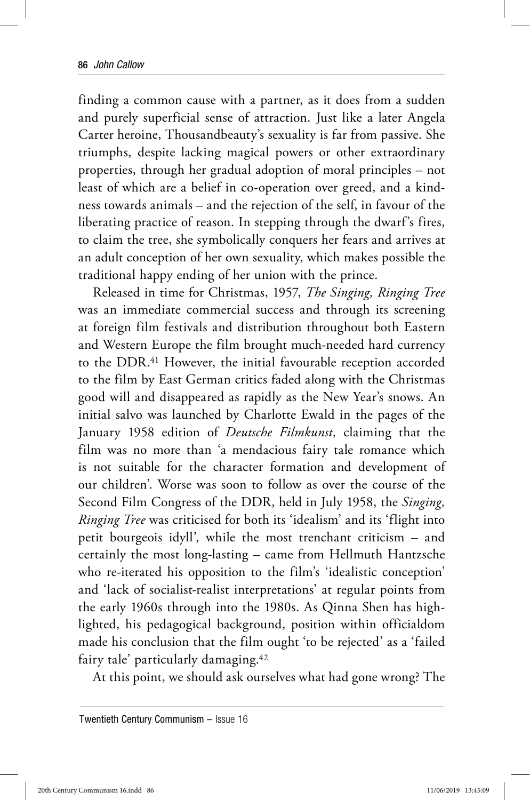finding a common cause with a partner, as it does from a sudden and purely superficial sense of attraction. Just like a later Angela Carter heroine, Thousandbeauty's sexuality is far from passive. She triumphs, despite lacking magical powers or other extraordinary properties, through her gradual adoption of moral principles – not least of which are a belief in co-operation over greed, and a kindness towards animals – and the rejection of the self, in favour of the liberating practice of reason. In stepping through the dwarf's fires, to claim the tree, she symbolically conquers her fears and arrives at an adult conception of her own sexuality, which makes possible the traditional happy ending of her union with the prince.

Released in time for Christmas, 1957, *The Singing, Ringing Tree*  was an immediate commercial success and through its screening at foreign film festivals and distribution throughout both Eastern and Western Europe the film brought much-needed hard currency to the DDR.41 However, the initial favourable reception accorded to the film by East German critics faded along with the Christmas good will and disappeared as rapidly as the New Year's snows. An initial salvo was launched by Charlotte Ewald in the pages of the January 1958 edition of *Deutsche Filmkunst,* claiming that the film was no more than 'a mendacious fairy tale romance which is not suitable for the character formation and development of our children'. Worse was soon to follow as over the course of the Second Film Congress of the DDR, held in July 1958, the *Singing, Ringing Tree* was criticised for both its 'idealism' and its 'flight into petit bourgeois idyll', while the most trenchant criticism – and certainly the most long-lasting – came from Hellmuth Hantzsche who re-iterated his opposition to the film's 'idealistic conception' and 'lack of socialist-realist interpretations' at regular points from the early 1960s through into the 1980s. As Qinna Shen has highlighted, his pedagogical background, position within officialdom made his conclusion that the film ought 'to be rejected' as a 'failed fairy tale' particularly damaging.42

At this point, we should ask ourselves what had gone wrong? The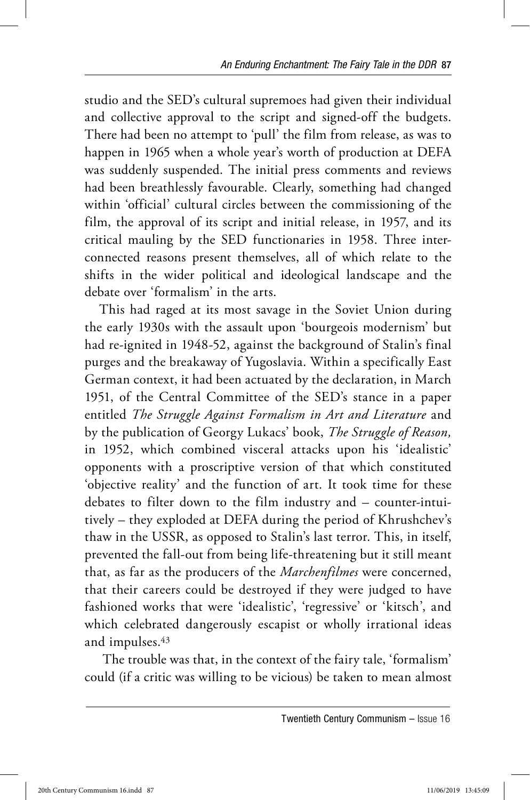studio and the SED's cultural supremoes had given their individual and collective approval to the script and signed-off the budgets. There had been no attempt to 'pull' the film from release, as was to happen in 1965 when a whole year's worth of production at DEFA was suddenly suspended. The initial press comments and reviews had been breathlessly favourable. Clearly, something had changed within 'official' cultural circles between the commissioning of the film, the approval of its script and initial release, in 1957, and its critical mauling by the SED functionaries in 1958. Three interconnected reasons present themselves, all of which relate to the shifts in the wider political and ideological landscape and the debate over 'formalism' in the arts.

This had raged at its most savage in the Soviet Union during the early 1930s with the assault upon 'bourgeois modernism' but had re-ignited in 1948-52, against the background of Stalin's final purges and the breakaway of Yugoslavia. Within a specifically East German context, it had been actuated by the declaration, in March 1951, of the Central Committee of the SED's stance in a paper entitled *The Struggle Against Formalism in Art and Literature* and by the publication of Georgy Lukacs' book, *The Struggle of Reason,*  in 1952, which combined visceral attacks upon his 'idealistic' opponents with a proscriptive version of that which constituted 'objective reality' and the function of art. It took time for these debates to filter down to the film industry and – counter-intuitively – they exploded at DEFA during the period of Khrushchev's thaw in the USSR, as opposed to Stalin's last terror. This, in itself, prevented the fall-out from being life-threatening but it still meant that, as far as the producers of the *Marchenfilmes* were concerned, that their careers could be destroyed if they were judged to have fashioned works that were 'idealistic', 'regressive' or 'kitsch', and which celebrated dangerously escapist or wholly irrational ideas and impulses.43

 The trouble was that, in the context of the fairy tale, 'formalism' could (if a critic was willing to be vicious) be taken to mean almost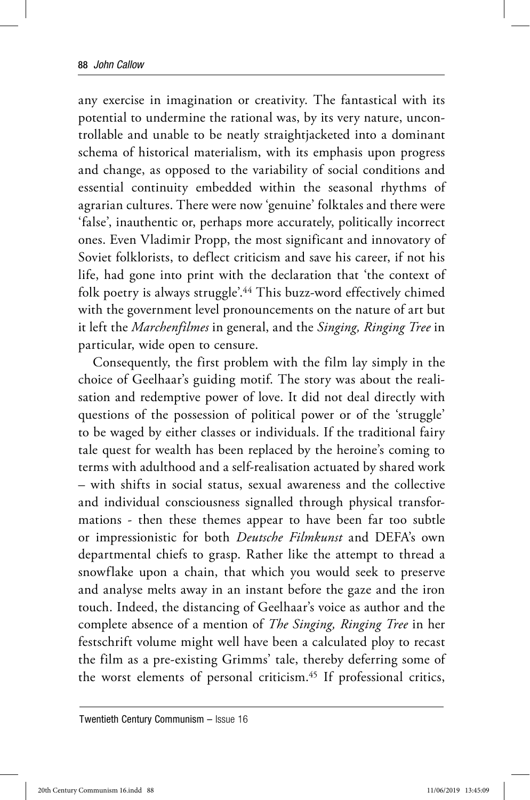any exercise in imagination or creativity. The fantastical with its potential to undermine the rational was, by its very nature, uncontrollable and unable to be neatly straightjacketed into a dominant schema of historical materialism, with its emphasis upon progress and change, as opposed to the variability of social conditions and essential continuity embedded within the seasonal rhythms of agrarian cultures. There were now 'genuine' folktales and there were 'false', inauthentic or, perhaps more accurately, politically incorrect ones. Even Vladimir Propp, the most significant and innovatory of Soviet folklorists, to deflect criticism and save his career, if not his life, had gone into print with the declaration that 'the context of folk poetry is always struggle'.44 This buzz-word effectively chimed with the government level pronouncements on the nature of art but it left the *Marchenfilmes* in general, and the *Singing, Ringing Tree* in particular, wide open to censure.

Consequently, the first problem with the film lay simply in the choice of Geelhaar's guiding motif. The story was about the realisation and redemptive power of love. It did not deal directly with questions of the possession of political power or of the 'struggle' to be waged by either classes or individuals. If the traditional fairy tale quest for wealth has been replaced by the heroine's coming to terms with adulthood and a self-realisation actuated by shared work – with shifts in social status, sexual awareness and the collective and individual consciousness signalled through physical transformations - then these themes appear to have been far too subtle or impressionistic for both *Deutsche Filmkunst* and DEFA's own departmental chiefs to grasp. Rather like the attempt to thread a snowflake upon a chain, that which you would seek to preserve and analyse melts away in an instant before the gaze and the iron touch. Indeed, the distancing of Geelhaar's voice as author and the complete absence of a mention of *The Singing, Ringing Tree* in her festschrift volume might well have been a calculated ploy to recast the film as a pre-existing Grimms' tale, thereby deferring some of the worst elements of personal criticism.45 If professional critics,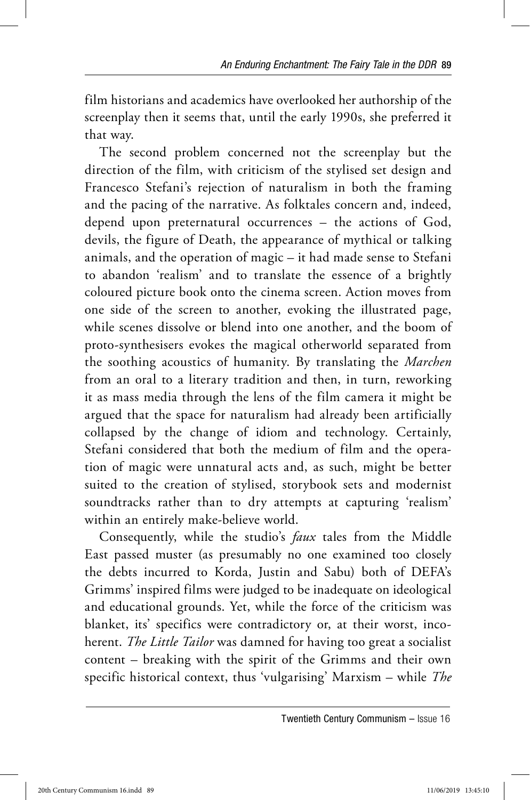film historians and academics have overlooked her authorship of the screenplay then it seems that, until the early 1990s, she preferred it that way.

The second problem concerned not the screenplay but the direction of the film, with criticism of the stylised set design and Francesco Stefani's rejection of naturalism in both the framing and the pacing of the narrative. As folktales concern and, indeed, depend upon preternatural occurrences – the actions of God, devils, the figure of Death, the appearance of mythical or talking animals, and the operation of magic – it had made sense to Stefani to abandon 'realism' and to translate the essence of a brightly coloured picture book onto the cinema screen. Action moves from one side of the screen to another, evoking the illustrated page, while scenes dissolve or blend into one another, and the boom of proto-synthesisers evokes the magical otherworld separated from the soothing acoustics of humanity. By translating the *Marchen*  from an oral to a literary tradition and then, in turn, reworking it as mass media through the lens of the film camera it might be argued that the space for naturalism had already been artificially collapsed by the change of idiom and technology. Certainly, Stefani considered that both the medium of film and the operation of magic were unnatural acts and, as such, might be better suited to the creation of stylised, storybook sets and modernist soundtracks rather than to dry attempts at capturing 'realism' within an entirely make-believe world.

Consequently, while the studio's *faux* tales from the Middle East passed muster (as presumably no one examined too closely the debts incurred to Korda, Justin and Sabu) both of DEFA's Grimms' inspired films were judged to be inadequate on ideological and educational grounds. Yet, while the force of the criticism was blanket, its' specifics were contradictory or, at their worst, incoherent. *The Little Tailor* was damned for having too great a socialist content – breaking with the spirit of the Grimms and their own specific historical context, thus 'vulgarising' Marxism – while *The* 

Twentieth Century Communism – Issue 16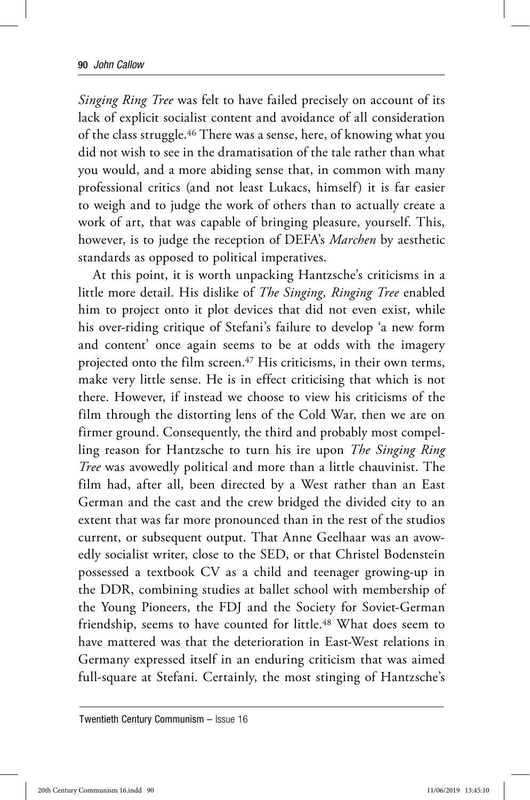*Singing Ring Tree* was felt to have failed precisely on account of its lack of explicit socialist content and avoidance of all consideration of the class struggle.46 There was a sense, here, of knowing what you did not wish to see in the dramatisation of the tale rather than what you would, and a more abiding sense that, in common with many professional critics (and not least Lukacs, himself) it is far easier to weigh and to judge the work of others than to actually create a work of art, that was capable of bringing pleasure, yourself. This, however, is to judge the reception of DEFA's *Marchen* by aesthetic standards as opposed to political imperatives.

At this point, it is worth unpacking Hantzsche's criticisms in a little more detail. His dislike of *The Singing, Ringing Tree* enabled him to project onto it plot devices that did not even exist, while his over-riding critique of Stefani's failure to develop 'a new form and content' once again seems to be at odds with the imagery projected onto the film screen.47 His criticisms, in their own terms, make very little sense. He is in effect criticising that which is not there. However, if instead we choose to view his criticisms of the film through the distorting lens of the Cold War, then we are on firmer ground. Consequently, the third and probably most compelling reason for Hantzsche to turn his ire upon *The Singing Ring Tree* was avowedly political and more than a little chauvinist. The film had, after all, been directed by a West rather than an East German and the cast and the crew bridged the divided city to an extent that was far more pronounced than in the rest of the studios current, or subsequent output. That Anne Geelhaar was an avowedly socialist writer, close to the SED, or that Christel Bodenstein possessed a textbook CV as a child and teenager growing-up in the DDR, combining studies at ballet school with membership of the Young Pioneers, the FDJ and the Society for Soviet-German friendship, seems to have counted for little.<sup>48</sup> What does seem to have mattered was that the deterioration in East-West relations in Germany expressed itself in an enduring criticism that was aimed full-square at Stefani. Certainly, the most stinging of Hantzsche's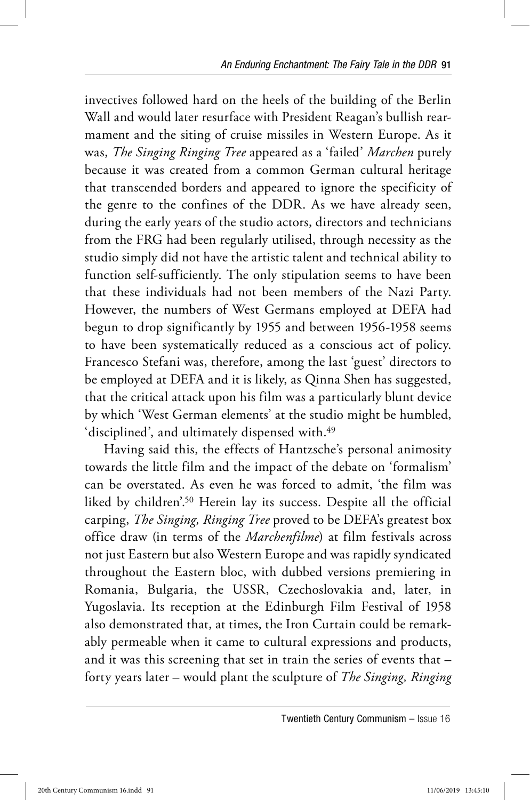invectives followed hard on the heels of the building of the Berlin Wall and would later resurface with President Reagan's bullish rearmament and the siting of cruise missiles in Western Europe. As it was, *The Singing Ringing Tree* appeared as a 'failed' *Marchen* purely because it was created from a common German cultural heritage that transcended borders and appeared to ignore the specificity of the genre to the confines of the DDR. As we have already seen, during the early years of the studio actors, directors and technicians from the FRG had been regularly utilised, through necessity as the studio simply did not have the artistic talent and technical ability to function self-sufficiently. The only stipulation seems to have been that these individuals had not been members of the Nazi Party. However, the numbers of West Germans employed at DEFA had begun to drop significantly by 1955 and between 1956-1958 seems to have been systematically reduced as a conscious act of policy. Francesco Stefani was, therefore, among the last 'guest' directors to be employed at DEFA and it is likely, as Qinna Shen has suggested, that the critical attack upon his film was a particularly blunt device by which 'West German elements' at the studio might be humbled, 'disciplined', and ultimately dispensed with.<sup>49</sup>

 Having said this, the effects of Hantzsche's personal animosity towards the little film and the impact of the debate on 'formalism' can be overstated. As even he was forced to admit, 'the film was liked by children'.50 Herein lay its success. Despite all the official carping, *The Singing, Ringing Tree* proved to be DEFA's greatest box office draw (in terms of the *Marchenfilme*) at film festivals across not just Eastern but also Western Europe and was rapidly syndicated throughout the Eastern bloc, with dubbed versions premiering in Romania, Bulgaria, the USSR, Czechoslovakia and, later, in Yugoslavia. Its reception at the Edinburgh Film Festival of 1958 also demonstrated that, at times, the Iron Curtain could be remarkably permeable when it came to cultural expressions and products, and it was this screening that set in train the series of events that – forty years later – would plant the sculpture of *The Singing, Ringing* 

Twentieth Century Communism – Issue 16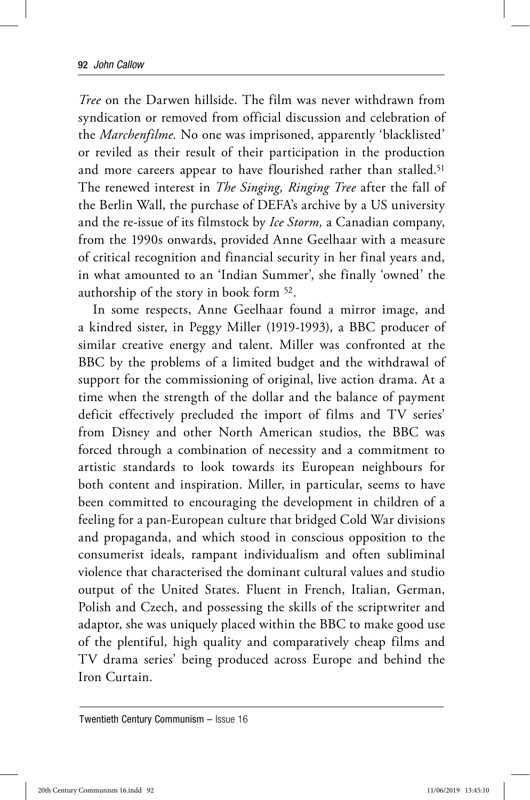*Tree* on the Darwen hillside. The film was never withdrawn from syndication or removed from official discussion and celebration of the *Marchenfilme.* No one was imprisoned, apparently 'blacklisted' or reviled as their result of their participation in the production and more careers appear to have flourished rather than stalled.<sup>51</sup> The renewed interest in *The Singing, Ringing Tree* after the fall of the Berlin Wall, the purchase of DEFA's archive by a US university and the re-issue of its filmstock by *Ice Storm,* a Canadian company, from the 1990s onwards, provided Anne Geelhaar with a measure of critical recognition and financial security in her final years and, in what amounted to an 'Indian Summer', she finally 'owned' the authorship of the story in book form 52.

In some respects, Anne Geelhaar found a mirror image, and a kindred sister, in Peggy Miller (1919-1993), a BBC producer of similar creative energy and talent. Miller was confronted at the BBC by the problems of a limited budget and the withdrawal of support for the commissioning of original, live action drama. At a time when the strength of the dollar and the balance of payment deficit effectively precluded the import of films and TV series' from Disney and other North American studios, the BBC was forced through a combination of necessity and a commitment to artistic standards to look towards its European neighbours for both content and inspiration. Miller, in particular, seems to have been committed to encouraging the development in children of a feeling for a pan-European culture that bridged Cold War divisions and propaganda, and which stood in conscious opposition to the consumerist ideals, rampant individualism and often subliminal violence that characterised the dominant cultural values and studio output of the United States. Fluent in French, Italian, German, Polish and Czech, and possessing the skills of the scriptwriter and adaptor, she was uniquely placed within the BBC to make good use of the plentiful, high quality and comparatively cheap films and TV drama series' being produced across Europe and behind the Iron Curtain.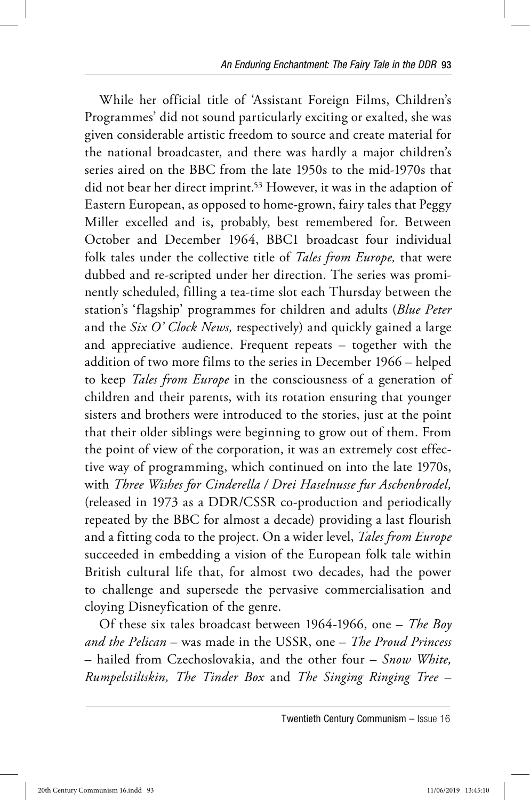While her official title of 'Assistant Foreign Films, Children's Programmes' did not sound particularly exciting or exalted, she was given considerable artistic freedom to source and create material for the national broadcaster, and there was hardly a major children's series aired on the BBC from the late 1950s to the mid-1970s that did not bear her direct imprint.<sup>53</sup> However, it was in the adaption of Eastern European, as opposed to home-grown, fairy tales that Peggy Miller excelled and is, probably, best remembered for. Between October and December 1964, BBC1 broadcast four individual folk tales under the collective title of *Tales from Europe,* that were dubbed and re-scripted under her direction. The series was prominently scheduled, filling a tea-time slot each Thursday between the station's 'flagship' programmes for children and adults (*Blue Peter*  and the *Six O' Clock News,* respectively) and quickly gained a large and appreciative audience. Frequent repeats – together with the addition of two more films to the series in December 1966 – helped to keep *Tales from Europe* in the consciousness of a generation of children and their parents, with its rotation ensuring that younger sisters and brothers were introduced to the stories, just at the point that their older siblings were beginning to grow out of them. From the point of view of the corporation, it was an extremely cost effective way of programming, which continued on into the late 1970s, with *Three Wishes for Cinderella / Drei Haselnusse fur Aschenbrodel,*  (released in 1973 as a DDR/CSSR co-production and periodically repeated by the BBC for almost a decade) providing a last flourish and a fitting coda to the project. On a wider level, *Tales from Europe* succeeded in embedding a vision of the European folk tale within British cultural life that, for almost two decades, had the power to challenge and supersede the pervasive commercialisation and cloying Disneyfication of the genre.

Of these six tales broadcast between 1964-1966, one – *The Boy and the Pelican* – was made in the USSR, one – *The Proud Princess*  – hailed from Czechoslovakia, and the other four – *Snow White, Rumpelstiltskin, The Tinder Box* and *The Singing Ringing Tree* –

Twentieth Century Communism – Issue 16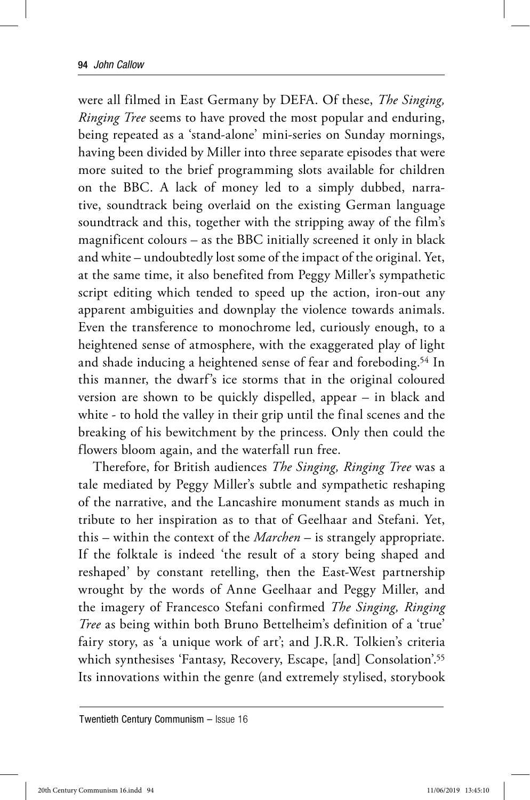were all filmed in East Germany by DEFA. Of these, *The Singing, Ringing Tree* seems to have proved the most popular and enduring, being repeated as a 'stand-alone' mini-series on Sunday mornings, having been divided by Miller into three separate episodes that were more suited to the brief programming slots available for children on the BBC. A lack of money led to a simply dubbed, narrative, soundtrack being overlaid on the existing German language soundtrack and this, together with the stripping away of the film's magnificent colours – as the BBC initially screened it only in black and white – undoubtedly lost some of the impact of the original. Yet, at the same time, it also benefited from Peggy Miller's sympathetic script editing which tended to speed up the action, iron-out any apparent ambiguities and downplay the violence towards animals. Even the transference to monochrome led, curiously enough, to a heightened sense of atmosphere, with the exaggerated play of light and shade inducing a heightened sense of fear and foreboding.54 In this manner, the dwarf's ice storms that in the original coloured version are shown to be quickly dispelled, appear – in black and white - to hold the valley in their grip until the final scenes and the breaking of his bewitchment by the princess. Only then could the flowers bloom again, and the waterfall run free.

Therefore, for British audiences *The Singing, Ringing Tree* was a tale mediated by Peggy Miller's subtle and sympathetic reshaping of the narrative, and the Lancashire monument stands as much in tribute to her inspiration as to that of Geelhaar and Stefani. Yet, this – within the context of the *Marchen* – is strangely appropriate. If the folktale is indeed 'the result of a story being shaped and reshaped' by constant retelling, then the East-West partnership wrought by the words of Anne Geelhaar and Peggy Miller, and the imagery of Francesco Stefani confirmed *The Singing, Ringing Tree* as being within both Bruno Bettelheim's definition of a 'true' fairy story, as 'a unique work of art'; and J.R.R. Tolkien's criteria which synthesises 'Fantasy, Recovery, Escape, [and] Consolation'.<sup>55</sup> Its innovations within the genre (and extremely stylised, storybook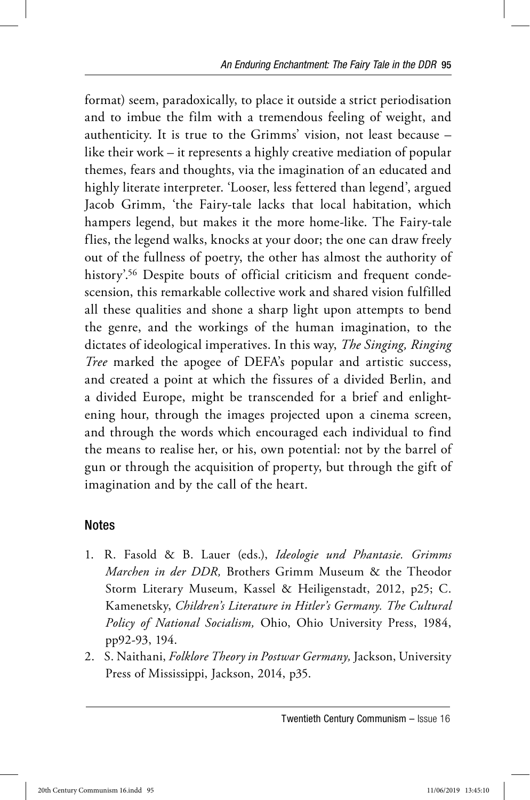format) seem, paradoxically, to place it outside a strict periodisation and to imbue the film with a tremendous feeling of weight, and authenticity. It is true to the Grimms' vision, not least because – like their work – it represents a highly creative mediation of popular themes, fears and thoughts, via the imagination of an educated and highly literate interpreter. 'Looser, less fettered than legend', argued Jacob Grimm, 'the Fairy-tale lacks that local habitation, which hampers legend, but makes it the more home-like. The Fairy-tale flies, the legend walks, knocks at your door; the one can draw freely out of the fullness of poetry, the other has almost the authority of history'.<sup>56</sup> Despite bouts of official criticism and frequent condescension, this remarkable collective work and shared vision fulfilled all these qualities and shone a sharp light upon attempts to bend the genre, and the workings of the human imagination, to the dictates of ideological imperatives. In this way, *The Singing, Ringing Tree* marked the apogee of DEFA's popular and artistic success, and created a point at which the fissures of a divided Berlin, and a divided Europe, might be transcended for a brief and enlightening hour, through the images projected upon a cinema screen, and through the words which encouraged each individual to find the means to realise her, or his, own potential: not by the barrel of gun or through the acquisition of property, but through the gift of imagination and by the call of the heart.

## Notes

- 1. R. Fasold & B. Lauer (eds.), *Ideologie und Phantasie. Grimms Marchen in der DDR,* Brothers Grimm Museum & the Theodor Storm Literary Museum, Kassel & Heiligenstadt, 2012, p25; C. Kamenetsky, *Children's Literature in Hitler's Germany. The Cultural Policy of National Socialism,* Ohio, Ohio University Press, 1984, pp92-93, 194.
- 2. S. Naithani, *Folklore Theory in Postwar Germany,* Jackson, University Press of Mississippi, Jackson, 2014, p35.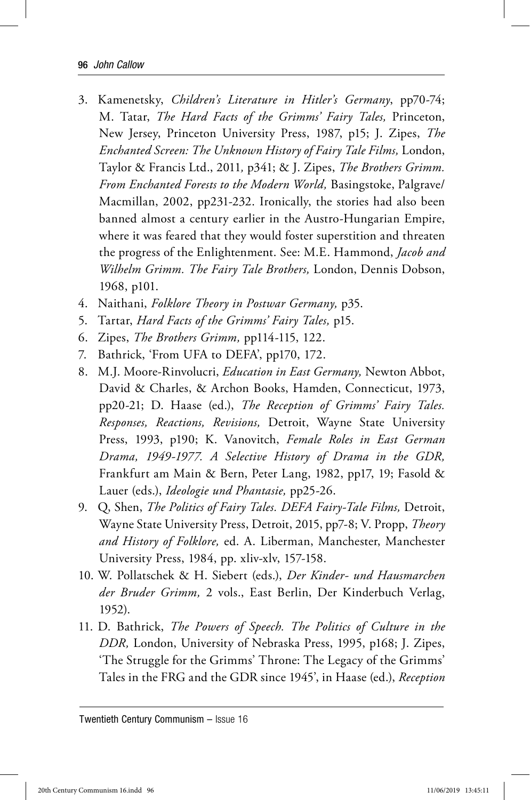- 3. Kamenetsky, *Children's Literature in Hitler's Germany*, pp70-74; M. Tatar, *The Hard Facts of the Grimms' Fairy Tales,* Princeton, New Jersey, Princeton University Press, 1987, p15; J. Zipes, *The Enchanted Screen: The Unknown History of Fairy Tale Films,* London, Taylor & Francis Ltd., 2011*,* p341; & J. Zipes, *The Brothers Grimm. From Enchanted Forests to the Modern World,* Basingstoke, Palgrave/ Macmillan, 2002, pp231-232. Ironically, the stories had also been banned almost a century earlier in the Austro-Hungarian Empire, where it was feared that they would foster superstition and threaten the progress of the Enlightenment. See: M.E. Hammond, *Jacob and Wilhelm Grimm. The Fairy Tale Brothers,* London, Dennis Dobson, 1968, p101.
- 4. Naithani, *Folklore Theory in Postwar Germany,* p35.
- 5. Tartar, *Hard Facts of the Grimms' Fairy Tales,* p15.
- 6. Zipes, *The Brothers Grimm,* pp114-115, 122.
- 7. Bathrick, 'From UFA to DEFA', pp170, 172.
- 8. M.J. Moore-Rinvolucri, *Education in East Germany,* Newton Abbot, David & Charles, & Archon Books, Hamden, Connecticut, 1973, pp20-21; D. Haase (ed.), *The Reception of Grimms' Fairy Tales. Responses, Reactions, Revisions,* Detroit, Wayne State University Press, 1993, p190; K. Vanovitch, *Female Roles in East German Drama, 1949-1977. A Selective History of Drama in the GDR,*  Frankfurt am Main & Bern, Peter Lang, 1982, pp17, 19; Fasold & Lauer (eds.), *Ideologie und Phantasie,* pp25-26.
- 9. Q, Shen, *The Politics of Fairy Tales. DEFA Fairy-Tale Films,* Detroit, Wayne State University Press, Detroit, 2015, pp7-8; V. Propp, *Theory and History of Folklore,* ed. A. Liberman, Manchester, Manchester University Press, 1984, pp. xliv-xlv, 157-158.
- 10. W. Pollatschek & H. Siebert (eds.), *Der Kinder- und Hausmarchen der Bruder Grimm,* 2 vols., East Berlin, Der Kinderbuch Verlag, 1952).
- 11. D. Bathrick, *The Powers of Speech. The Politics of Culture in the DDR,* London, University of Nebraska Press, 1995, p168; J. Zipes, 'The Struggle for the Grimms' Throne: The Legacy of the Grimms' Tales in the FRG and the GDR since 1945', in Haase (ed.), *Reception*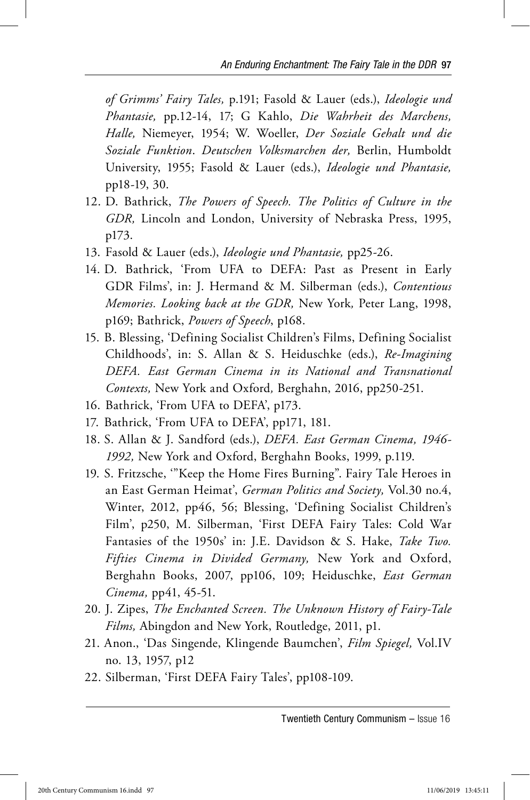*of Grimms' Fairy Tales,* p.191; Fasold & Lauer (eds.), *Ideologie und Phantasie,* pp.12-14, 17; G Kahlo, *Die Wahrheit des Marchens, Halle,* Niemeyer, 1954; W. Woeller, *Der Soziale Gehalt und die Soziale Funktion*. *Deutschen Volksmarchen der,* Berlin, Humboldt University, 1955; Fasold & Lauer (eds.), *Ideologie und Phantasie,*  pp18-19, 30.

- 12. D. Bathrick, *The Powers of Speech. The Politics of Culture in the GDR,* Lincoln and London, University of Nebraska Press, 1995, p173.
- 13. Fasold & Lauer (eds.), *Ideologie und Phantasie,* pp25-26.
- 14. D. Bathrick, 'From UFA to DEFA: Past as Present in Early GDR Films', in: J. Hermand & M. Silberman (eds.), *Contentious Memories. Looking back at the GDR,* New York*,* Peter Lang, 1998, p169; Bathrick, *Powers of Speech*, p168.
- 15. B. Blessing, 'Defining Socialist Children's Films, Defining Socialist Childhoods', in: S. Allan & S. Heiduschke (eds.), *Re-Imagining DEFA. East German Cinema in its National and Transnational Contexts,* New York and Oxford*,* Berghahn, 2016, pp250-251.
- 16. Bathrick, 'From UFA to DEFA', p173.
- 17. Bathrick, 'From UFA to DEFA', pp171, 181.
- 18. S. Allan & J. Sandford (eds.), *DEFA. East German Cinema, 1946- 1992,* New York and Oxford, Berghahn Books, 1999, p.119.
- 19. S. Fritzsche, '"Keep the Home Fires Burning". Fairy Tale Heroes in an East German Heimat', *German Politics and Society,* Vol.30 no.4, Winter, 2012, pp46, 56; Blessing, 'Defining Socialist Children's Film', p250, M. Silberman, 'First DEFA Fairy Tales: Cold War Fantasies of the 1950s' in: J.E. Davidson & S. Hake, *Take Two. Fifties Cinema in Divided Germany,* New York and Oxford, Berghahn Books, 2007, pp106, 109; Heiduschke, *East German Cinema,* pp41, 45-51.
- 20. J. Zipes, *The Enchanted Screen. The Unknown History of Fairy-Tale Films,* Abingdon and New York, Routledge, 2011, p1.
- 21. Anon., 'Das Singende, Klingende Baumchen', *Film Spiegel,* Vol.IV no. 13, 1957, p12
- 22. Silberman, 'First DEFA Fairy Tales', pp108-109.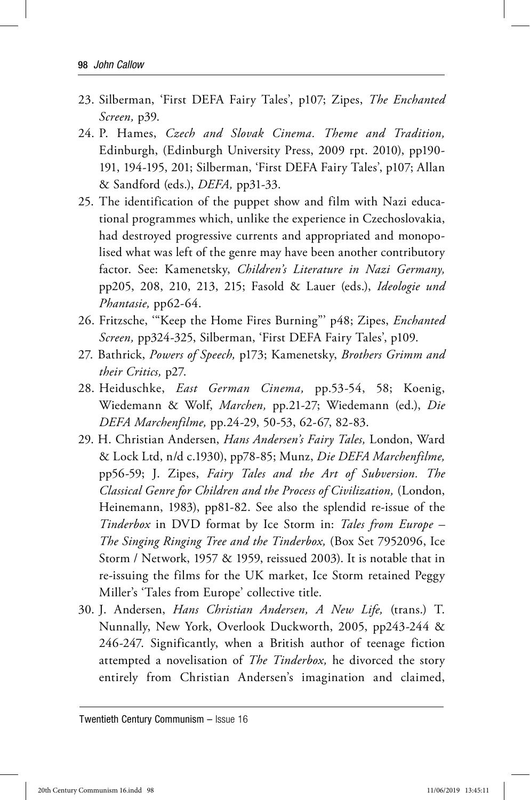- 23. Silberman, 'First DEFA Fairy Tales', p107; Zipes, *The Enchanted Screen,* p39.
- 24. P. Hames, *Czech and Slovak Cinema. Theme and Tradition,*  Edinburgh, (Edinburgh University Press, 2009 rpt. 2010), pp190- 191, 194-195, 201; Silberman, 'First DEFA Fairy Tales', p107; Allan & Sandford (eds.), *DEFA,* pp31-33.
- 25. The identification of the puppet show and film with Nazi educational programmes which, unlike the experience in Czechoslovakia, had destroyed progressive currents and appropriated and monopolised what was left of the genre may have been another contributory factor. See: Kamenetsky, *Children's Literature in Nazi Germany,*  pp205, 208, 210, 213, 215; Fasold & Lauer (eds.), *Ideologie und Phantasie,* pp62-64.
- 26. Fritzsche, '"Keep the Home Fires Burning"' p48; Zipes, *Enchanted Screen,* pp324-325, Silberman, 'First DEFA Fairy Tales', p109.
- 27. Bathrick, *Powers of Speech,* p173; Kamenetsky, *Brothers Grimm and their Critics,* p27.
- 28. Heiduschke, *East German Cinema,* pp.53-54, 58; Koenig, Wiedemann & Wolf, *Marchen,* pp.21-27; Wiedemann (ed.), *Die DEFA Marchenfilme,* pp.24-29, 50-53, 62-67, 82-83.
- 29. H. Christian Andersen, *Hans Andersen's Fairy Tales,* London, Ward & Lock Ltd, n/d c.1930), pp78-85; Munz, *Die DEFA Marchenfilme,*  pp56-59; J. Zipes, *Fairy Tales and the Art of Subversion. The Classical Genre for Children and the Process of Civilization,* (London, Heinemann, 1983), pp81-82. See also the splendid re-issue of the *Tinderbox* in DVD format by Ice Storm in: *Tales from Europe – The Singing Ringing Tree and the Tinderbox,* (Box Set 7952096, Ice Storm / Network, 1957 & 1959, reissued 2003). It is notable that in re-issuing the films for the UK market, Ice Storm retained Peggy Miller's 'Tales from Europe' collective title.
- 30. J. Andersen, *Hans Christian Andersen, A New Life,* (trans.) T. Nunnally, New York, Overlook Duckworth, 2005, pp243-244 & 246-247. Significantly, when a British author of teenage fiction attempted a novelisation of *The Tinderbox,* he divorced the story entirely from Christian Andersen's imagination and claimed,

Twentieth Century Communism – Issue 16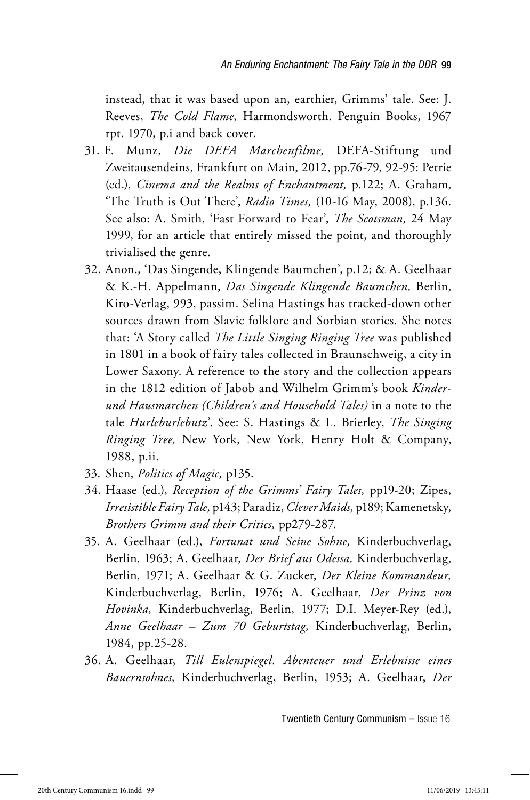instead, that it was based upon an, earthier, Grimms' tale. See: J. Reeves, *The Cold Flame,* Harmondsworth. Penguin Books, 1967 rpt. 1970, p.i and back cover.

- 31. F. Munz, *Die DEFA Marchenfilme,* DEFA-Stiftung und Zweitausendeins, Frankfurt on Main, 2012, pp.76-79, 92-95: Petrie (ed.), *Cinema and the Realms of Enchantment,* p.122; A. Graham, 'The Truth is Out There', *Radio Times,* (10-16 May, 2008), p.136. See also: A. Smith, 'Fast Forward to Fear', *The Scotsman,* 24 May 1999, for an article that entirely missed the point, and thoroughly trivialised the genre.
- 32. Anon., 'Das Singende, Klingende Baumchen', p.12; & A. Geelhaar & K.-H. Appelmann, *Das Singende Klingende Baumchen,* Berlin, Kiro-Verlag, 993, passim. Selina Hastings has tracked-down other sources drawn from Slavic folklore and Sorbian stories. She notes that: 'A Story called *The Little Singing Ringing Tree* was published in 1801 in a book of fairy tales collected in Braunschweig, a city in Lower Saxony. A reference to the story and the collection appears in the 1812 edition of Jabob and Wilhelm Grimm's book *Kinderund Hausmarchen (Children's and Household Tales)* in a note to the tale *Hurleburlebutz*'. See: S. Hastings & L. Brierley, *The Singing Ringing Tree,* New York, New York, Henry Holt & Company, 1988, p.ii.
- 33. Shen, *Politics of Magic,* p135.
- 34. Haase (ed.), *Reception of the Grimms' Fairy Tales,* pp19-20; Zipes, *Irresistible Fairy Tale,* p143; Paradiz, *Clever Maids,* p189; Kamenetsky, *Brothers Grimm and their Critics,* pp279-287.
- 35. A. Geelhaar (ed.), *Fortunat und Seine Sohne,* Kinderbuchverlag, Berlin, 1963; A. Geelhaar, *Der Brief aus Odessa,* Kinderbuchverlag, Berlin, 1971; A. Geelhaar & G. Zucker, *Der Kleine Kommandeur,*  Kinderbuchverlag, Berlin, 1976; A. Geelhaar, *Der Prinz von Hovinka,* Kinderbuchverlag, Berlin, 1977; D.I. Meyer-Rey (ed.), *Anne Geelhaar – Zum 70 Geburtstag,* Kinderbuchverlag, Berlin, 1984, pp.25-28.
- 36. A. Geelhaar, *Till Eulenspiegel. Abenteuer und Erlebnisse eines Bauernsohnes,* Kinderbuchverlag, Berlin, 1953; A. Geelhaar, *Der*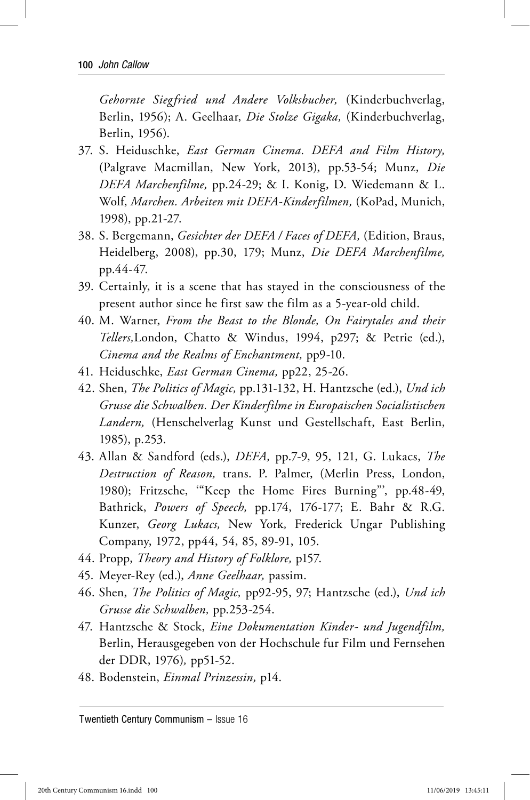*Gehornte Siegfried und Andere Volksbucher,* (Kinderbuchverlag, Berlin, 1956); A. Geelhaar, *Die Stolze Gigaka,* (Kinderbuchverlag, Berlin, 1956).

- 37. S. Heiduschke, *East German Cinema. DEFA and Film History,*  (Palgrave Macmillan, New York, 2013), pp.53-54; Munz, *Die DEFA Marchenfilme,* pp.24-29; & I. Konig, D. Wiedemann & L. Wolf, *Marchen. Arbeiten mit DEFA-Kinderfilmen,* (KoPad, Munich, 1998), pp.21-27.
- 38. S. Bergemann, *Gesichter der DEFA / Faces of DEFA,* (Edition, Braus, Heidelberg, 2008), pp.30, 179; Munz, *Die DEFA Marchenfilme,*  pp.44-47.
- 39. Certainly, it is a scene that has stayed in the consciousness of the present author since he first saw the film as a 5-year-old child.
- 40. M. Warner, *From the Beast to the Blonde, On Fairytales and their Tellers,*London, Chatto & Windus, 1994, p297; & Petrie (ed.), *Cinema and the Realms of Enchantment,* pp9-10.
- 41. Heiduschke, *East German Cinema,* pp22, 25-26.
- 42. Shen, *The Politics of Magic,* pp.131-132, H. Hantzsche (ed.), *Und ich Grusse die Schwalben. Der Kinderfilme in Europaischen Socialistischen Landern,* (Henschelverlag Kunst und Gestellschaft, East Berlin, 1985), p.253.
- 43. Allan & Sandford (eds.), *DEFA,* pp.7-9, 95, 121, G. Lukacs, *The Destruction of Reason,* trans. P. Palmer, (Merlin Press, London, 1980); Fritzsche, '"Keep the Home Fires Burning"', pp.48-49, Bathrick, *Powers of Speech,* pp.174, 176-177; E. Bahr & R.G. Kunzer, *Georg Lukacs,* New York*,* Frederick Ungar Publishing Company, 1972, pp44, 54, 85, 89-91, 105.
- 44. Propp, *Theory and History of Folklore,* p157.
- 45. Meyer-Rey (ed.), *Anne Geelhaar,* passim.
- 46. Shen, *The Politics of Magic,* pp92-95, 97; Hantzsche (ed.), *Und ich Grusse die Schwalben,* pp.253-254.
- 47. Hantzsche & Stock, *Eine Dokumentation Kinder- und Jugendfilm,*  Berlin, Herausgegeben von der Hochschule fur Film und Fernsehen der DDR, 1976)*,* pp51-52.
- 48. Bodenstein, *Einmal Prinzessin,* p14.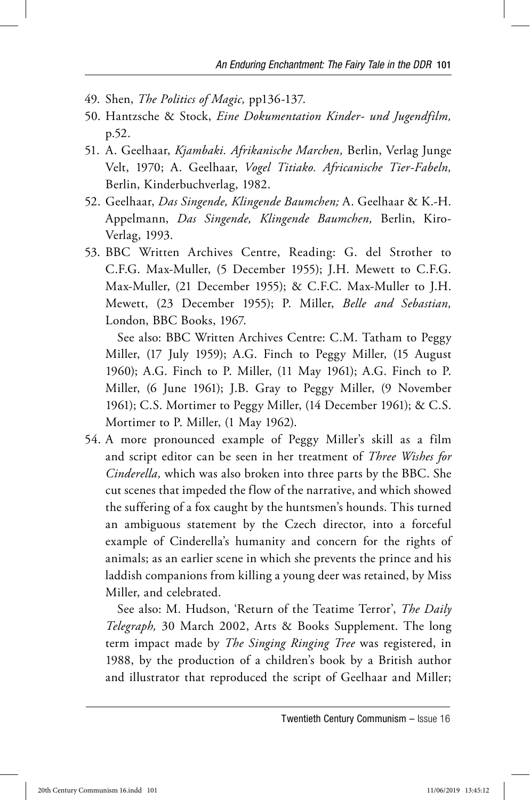- 49. Shen, *The Politics of Magic,* pp136-137.
- 50. Hantzsche & Stock, *Eine Dokumentation Kinder- und Jugendfilm,*  p.52.
- 51. A. Geelhaar, *Kjambaki. Afrikanische Marchen,* Berlin, Verlag Junge Velt, 1970; A. Geelhaar, *Vogel Titiako. Africanische Tier-Fabeln,*  Berlin, Kinderbuchverlag, 1982.
- 52. Geelhaar, *Das Singende, Klingende Baumchen;* A. Geelhaar & K.-H. Appelmann, *Das Singende, Klingende Baumchen,* Berlin, Kiro-Verlag, 1993.
- 53. BBC Written Archives Centre, Reading: G. del Strother to C.F.G. Max-Muller, (5 December 1955); J.H. Mewett to C.F.G. Max-Muller, (21 December 1955); & C.F.C. Max-Muller to J.H. Mewett, (23 December 1955); P. Miller, *Belle and Sebastian,*  London, BBC Books, 1967.

 See also: BBC Written Archives Centre: C.M. Tatham to Peggy Miller, (17 July 1959); A.G. Finch to Peggy Miller, (15 August 1960); A.G. Finch to P. Miller, (11 May 1961); A.G. Finch to P. Miller, (6 June 1961); J.B. Gray to Peggy Miller, (9 November 1961); C.S. Mortimer to Peggy Miller, (14 December 1961); & C.S. Mortimer to P. Miller, (1 May 1962).

54. A more pronounced example of Peggy Miller's skill as a film and script editor can be seen in her treatment of *Three Wishes for Cinderella,* which was also broken into three parts by the BBC. She cut scenes that impeded the flow of the narrative, and which showed the suffering of a fox caught by the huntsmen's hounds. This turned an ambiguous statement by the Czech director, into a forceful example of Cinderella's humanity and concern for the rights of animals; as an earlier scene in which she prevents the prince and his laddish companions from killing a young deer was retained, by Miss Miller, and celebrated.

 See also: M. Hudson, 'Return of the Teatime Terror', *The Daily Telegraph,* 30 March 2002, Arts & Books Supplement. The long term impact made by *The Singing Ringing Tree* was registered, in 1988, by the production of a children's book by a British author and illustrator that reproduced the script of Geelhaar and Miller;

Twentieth Century Communism – Issue 16